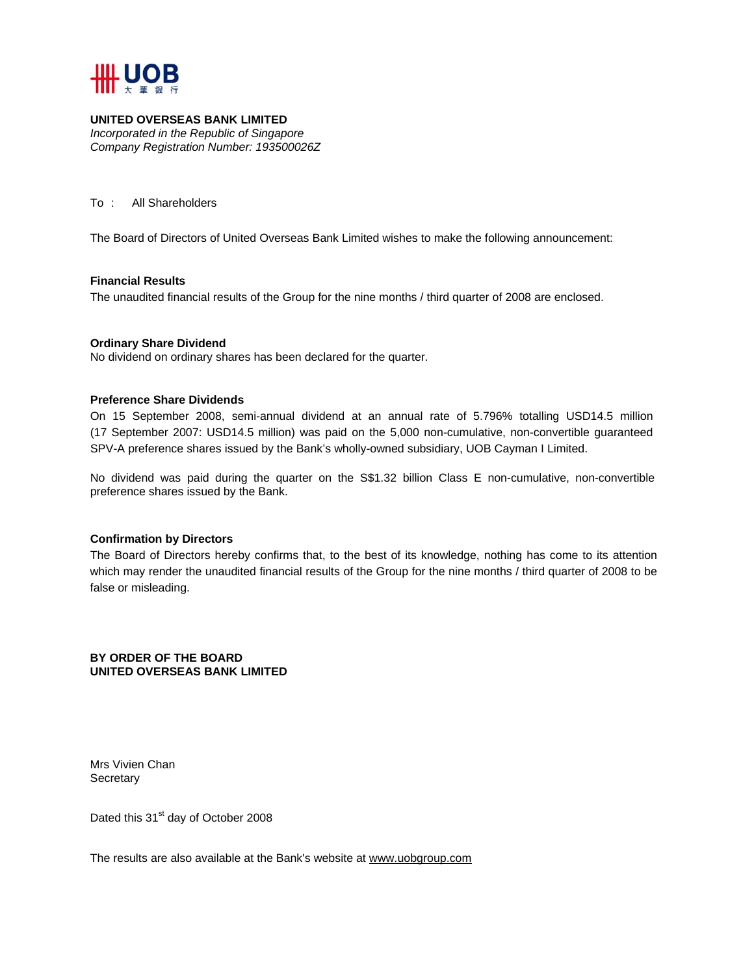

# **UNITED OVERSEAS BANK LIMITED**

*Incorporated in the Republic of Singapore Company Registration Number: 193500026Z* 

To : All Shareholders

The Board of Directors of United Overseas Bank Limited wishes to make the following announcement:

## **Financial Results**

The unaudited financial results of the Group for the nine months / third quarter of 2008 are enclosed.

#### **Ordinary Share Dividend**

No dividend on ordinary shares has been declared for the quarter.

#### **Preference Share Dividends**

On 15 September 2008, semi-annual dividend at an annual rate of 5.796% totalling USD14.5 million (17 September 2007: USD14.5 million) was paid on the 5,000 non-cumulative, non-convertible guaranteed SPV-A preference shares issued by the Bank's wholly-owned subsidiary, UOB Cayman I Limited.

No dividend was paid during the quarter on the S\$1.32 billion Class E non-cumulative, non-convertible preference shares issued by the Bank.

## **Confirmation by Directors**

The Board of Directors hereby confirms that, to the best of its knowledge, nothing has come to its attention which may render the unaudited financial results of the Group for the nine months / third quarter of 2008 to be false or misleading.

## **BY ORDER OF THE BOARD UNITED OVERSEAS BANK LIMITED**

Mrs Vivien Chan **Secretary** 

Dated this 31<sup>st</sup> day of October 2008

The results are also available at the Bank's website at www.uobgroup.com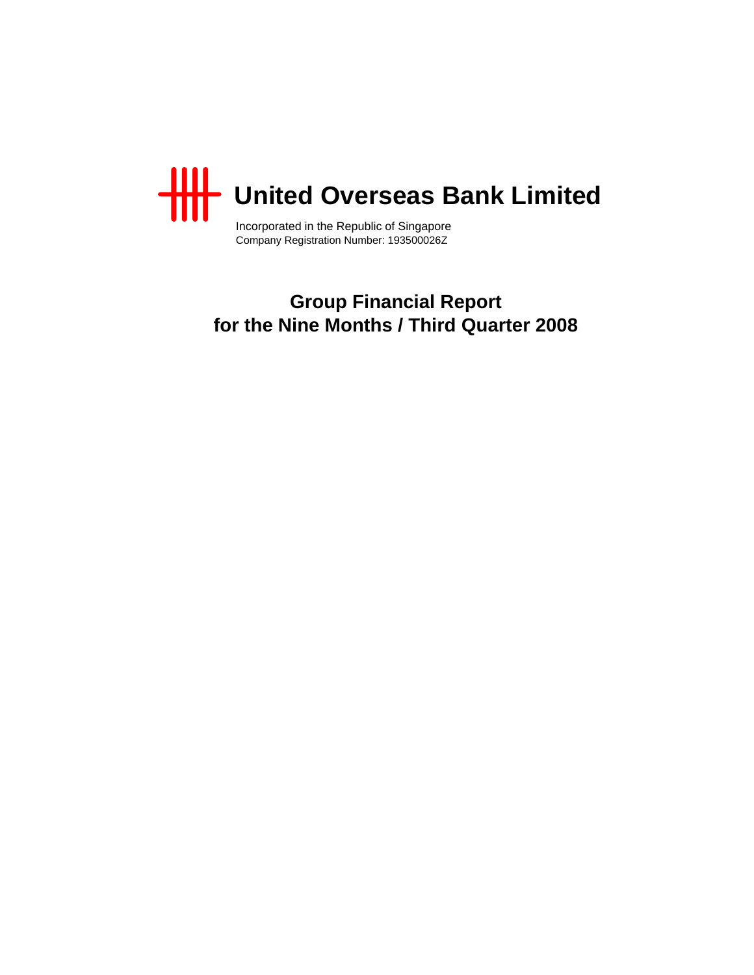

Incorporated in the Republic of Singapore Company Registration Number: 193500026Z

**Group Financial Report for the Nine Months / Third Quarter 2008**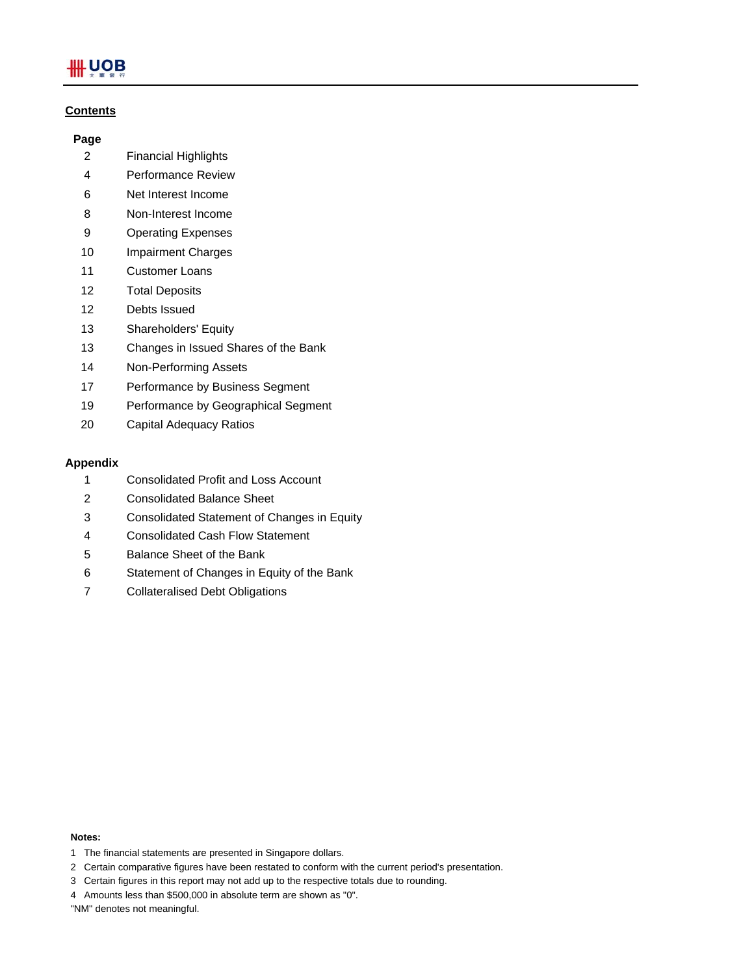# **\HUOB**

## **Contents**

## **Page**

- 2 Financial Highlights
- 4 Performance Review
- 6 Net Interest Income
- 8 Non-Interest Income
- 9 Operating Expenses
- 10 Impairment Charges
- 11 Customer Loans
- 12 Total Deposits
- 12 Debts Issued
- 13 Shareholders' Equity
- 13 Changes in Issued Shares of the Bank
- 14 Non-Performing Assets
- 17 Performance by Business Segment
- 19 Performance by Geographical Segment
- 20 Capital Adequacy Ratios

## **Appendix**

- 1 Consolidated Profit and Loss Account
- 2 Consolidated Balance Sheet
- 3 Consolidated Statement of Changes in Equity
- 4 Consolidated Cash Flow Statement
- 5 Balance Sheet of the Bank
- 6 Statement of Changes in Equity of the Bank
- 7 Collateralised Debt Obligations

#### **Notes:**

- 1 The financial statements are presented in Singapore dollars.
- 2 Certain comparative figures have been restated to conform with the current period's presentation.
- 3 Certain figures in this report may not add up to the respective totals due to rounding.
- 4 Amounts less than \$500,000 in absolute term are shown as "0".

"NM" denotes not meaningful.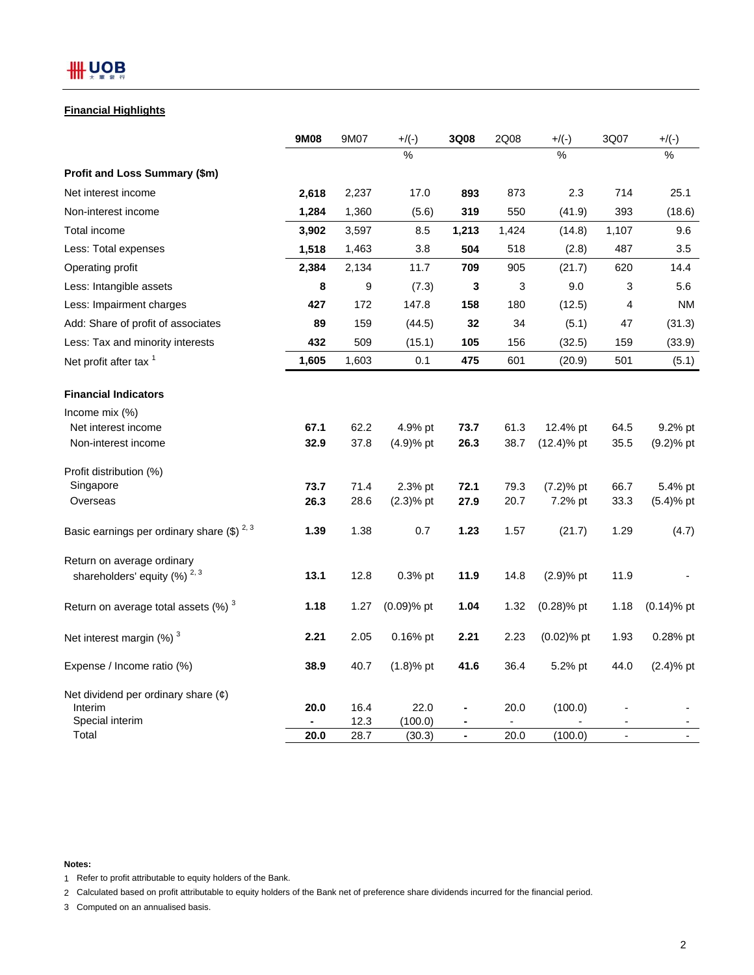#### **Financial Highlights**

|                                                                        | 9M08  | 9M07         | $+/(-)$           | 3Q08           | 2Q08  | $+/(-)$       | 3Q07           | $+/(-)$       |
|------------------------------------------------------------------------|-------|--------------|-------------------|----------------|-------|---------------|----------------|---------------|
|                                                                        |       |              | %                 |                |       | $\%$          |                | $\%$          |
| Profit and Loss Summary (\$m)                                          |       |              |                   |                |       |               |                |               |
| Net interest income                                                    | 2,618 | 2,237        | 17.0              | 893            | 873   | 2.3           | 714            | 25.1          |
| Non-interest income                                                    | 1,284 | 1,360        | (5.6)             | 319            | 550   | (41.9)        | 393            | (18.6)        |
| Total income                                                           | 3,902 | 3,597        | 8.5               | 1,213          | 1,424 | (14.8)        | 1,107          | 9.6           |
| Less: Total expenses                                                   | 1,518 | 1,463        | 3.8               | 504            | 518   | (2.8)         | 487            | 3.5           |
| Operating profit                                                       | 2,384 | 2,134        | 11.7              | 709            | 905   | (21.7)        | 620            | 14.4          |
| Less: Intangible assets                                                | 8     | 9            | (7.3)             | 3              | 3     | 9.0           | 3              | 5.6           |
| Less: Impairment charges                                               | 427   | 172          | 147.8             | 158            | 180   | (12.5)        | 4              | <b>NM</b>     |
| Add: Share of profit of associates                                     | 89    | 159          | (44.5)            | 32             | 34    | (5.1)         | 47             | (31.3)        |
| Less: Tax and minority interests                                       | 432   | 509          | (15.1)            | 105            | 156   | (32.5)        | 159            | (33.9)        |
| Net profit after tax <sup>1</sup>                                      | 1,605 | 1,603        | 0.1               | 475            | 601   | (20.9)        | 501            | (5.1)         |
| <b>Financial Indicators</b>                                            |       |              |                   |                |       |               |                |               |
| Income mix $(\%)$                                                      |       |              |                   |                |       |               |                |               |
| Net interest income                                                    | 67.1  | 62.2         | 4.9% pt           | 73.7           | 61.3  | 12.4% pt      | 64.5           | 9.2% pt       |
| Non-interest income                                                    | 32.9  | 37.8         | $(4.9)%$ pt       | 26.3           | 38.7  | $(12.4)$ % pt | 35.5           | $(9.2)$ % pt  |
| Profit distribution (%)                                                |       |              |                   |                |       |               |                |               |
| Singapore                                                              | 73.7  | 71.4         | 2.3% pt           | 72.1           | 79.3  | $(7.2)%$ pt   | 66.7           | 5.4% pt       |
| Overseas                                                               | 26.3  | 28.6         | $(2.3)$ % pt      | 27.9           | 20.7  | 7.2% pt       | 33.3           | $(5.4)%$ pt   |
| Basic earnings per ordinary share $(\$)^2$ , 3                         | 1.39  | 1.38         | 0.7               | 1.23           | 1.57  | (21.7)        | 1.29           | (4.7)         |
| Return on average ordinary                                             |       |              |                   |                |       |               |                |               |
| shareholders' equity (%) <sup>2,3</sup>                                | 13.1  | 12.8         | 0.3% pt           | 11.9           | 14.8  | $(2.9)%$ pt   | 11.9           |               |
| Return on average total assets $(\%)$ <sup>3</sup>                     | 1.18  | 1.27         | (0.09)% pt        | 1.04           | 1.32  | $(0.28)$ % pt | 1.18           | $(0.14)$ % pt |
| Net interest margin $(\%)$ <sup>3</sup>                                | 2.21  | 2.05         | 0.16% pt          | 2.21           | 2.23  | $(0.02)$ % pt | 1.93           | 0.28% pt      |
| Expense / Income ratio (%)                                             | 38.9  | 40.7         | $(1.8)$ % pt      | 41.6           | 36.4  | 5.2% pt       | 44.0           | $(2.4)$ % pt  |
| Net dividend per ordinary share $(\phi)$<br>Interim<br>Special interim | 20.0  | 16.4         | 22.0              | $\blacksquare$ | 20.0  | (100.0)       |                |               |
| Total                                                                  | 20.0  | 12.3<br>28.7 | (100.0)<br>(30.3) | $\blacksquare$ | 20.0  | (100.0)       | $\blacksquare$ |               |

**Notes:**

1 Refer to profit attributable to equity holders of the Bank.

2 Calculated based on profit attributable to equity holders of the Bank net of preference share dividends incurred for the financial period.

3 Computed on an annualised basis.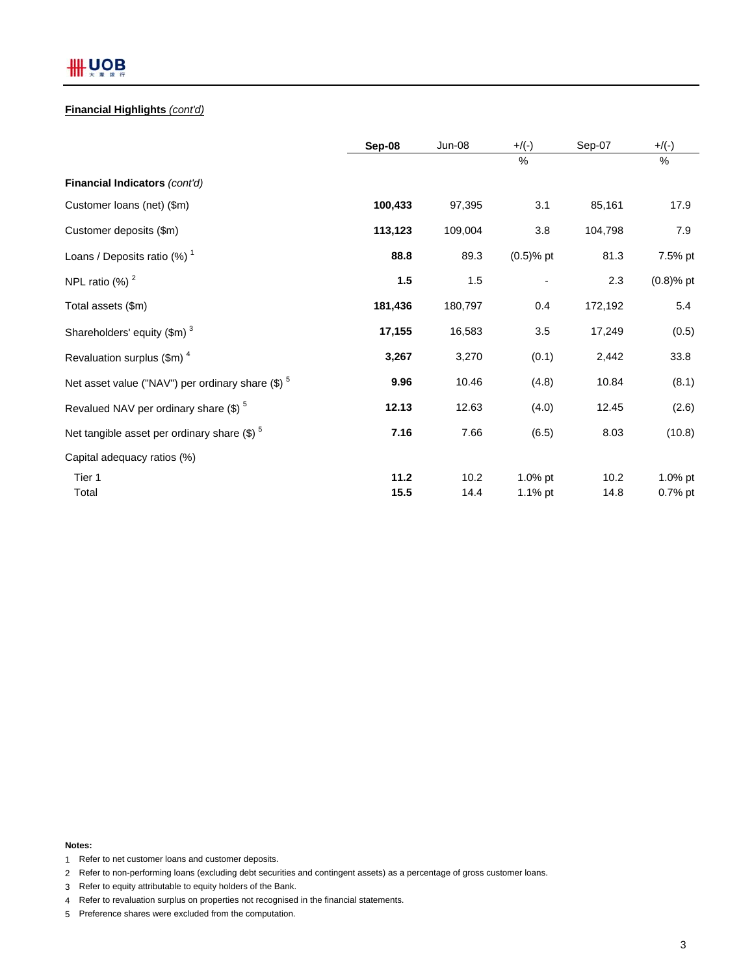# **III** UOB

## **Financial Highlights** *(cont'd)*

|                                                                | Sep-08  | <b>Jun-08</b> | $+/(-)$      | Sep-07  | $+$ /(-)     |
|----------------------------------------------------------------|---------|---------------|--------------|---------|--------------|
|                                                                |         |               | $\%$         |         | $\%$         |
| Financial Indicators (cont'd)                                  |         |               |              |         |              |
| Customer loans (net) (\$m)                                     | 100,433 | 97,395        | 3.1          | 85,161  | 17.9         |
| Customer deposits (\$m)                                        | 113,123 | 109,004       | 3.8          | 104,798 | 7.9          |
| Loans / Deposits ratio $(%)1$                                  | 88.8    | 89.3          | $(0.5)$ % pt | 81.3    | 7.5% pt      |
| NPL ratio $(\%)$ <sup>2</sup>                                  | 1.5     | 1.5           |              | 2.3     | $(0.8)$ % pt |
| Total assets (\$m)                                             | 181,436 | 180,797       | 0.4          | 172,192 | 5.4          |
| Shareholders' equity $(\text{Im})^3$                           | 17,155  | 16,583        | 3.5          | 17,249  | (0.5)        |
| Revaluation surplus $(\text{Im})^4$                            | 3,267   | 3,270         | (0.1)        | 2,442   | 33.8         |
| Net asset value ("NAV") per ordinary share $(\$)$ <sup>5</sup> | 9.96    | 10.46         | (4.8)        | 10.84   | (8.1)        |
| Revalued NAV per ordinary share (\$) <sup>5</sup>              | 12.13   | 12.63         | (4.0)        | 12.45   | (2.6)        |
| Net tangible asset per ordinary share $(\$)$ <sup>5</sup>      | 7.16    | 7.66          | (6.5)        | 8.03    | (10.8)       |
| Capital adequacy ratios (%)                                    |         |               |              |         |              |
| Tier 1                                                         | 11.2    | 10.2          | 1.0% pt      | 10.2    | 1.0% pt      |
| Total                                                          | 15.5    | 14.4          | 1.1% pt      | 14.8    | 0.7% pt      |

**Notes:**

- 1 Refer to net customer loans and customer deposits.
- 2 Refer to non-performing loans (excluding debt securities and contingent assets) as a percentage of gross customer loans.
- 3 Refer to equity attributable to equity holders of the Bank.
- 4 Refer to revaluation surplus on properties not recognised in the financial statements.
- 5 Preference shares were excluded from the computation.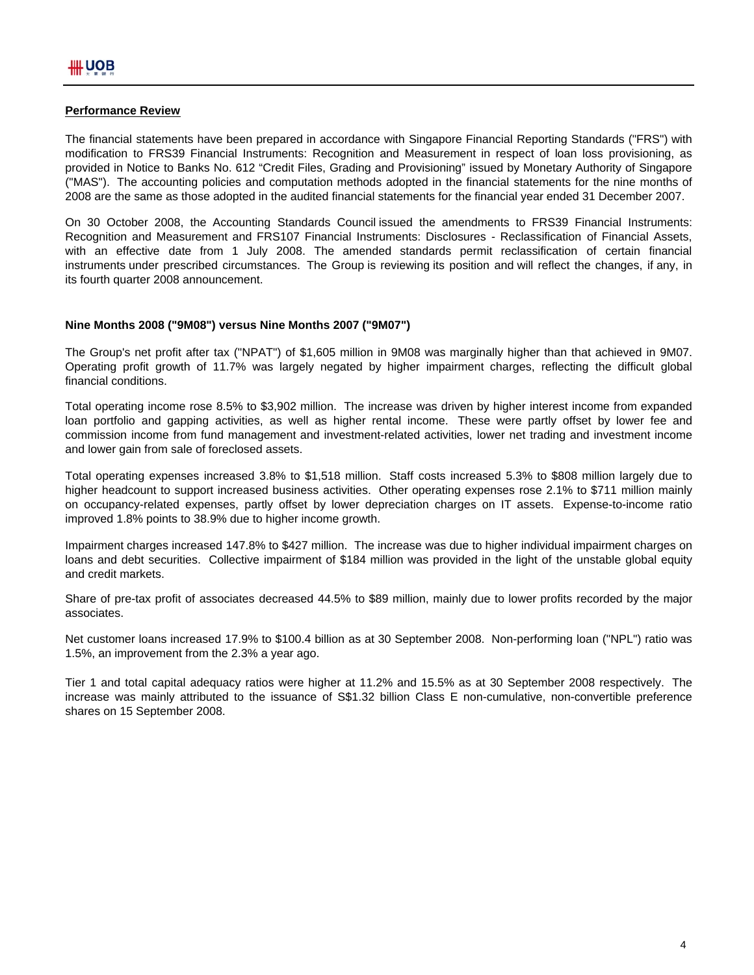## **Performance Review**

The financial statements have been prepared in accordance with Singapore Financial Reporting Standards ("FRS") with modification to FRS39 Financial Instruments: Recognition and Measurement in respect of loan loss provisioning, as provided in Notice to Banks No. 612 "Credit Files, Grading and Provisioning" issued by Monetary Authority of Singapore ("MAS"). The accounting policies and computation methods adopted in the financial statements for the nine months of 2008 are the same as those adopted in the audited financial statements for the financial year ended 31 December 2007.

On 30 October 2008, the Accounting Standards Council issued the amendments to FRS39 Financial Instruments: Recognition and Measurement and FRS107 Financial Instruments: Disclosures - Reclassification of Financial Assets, with an effective date from 1 July 2008. The amended standards permit reclassification of certain financial instruments under prescribed circumstances. The Group is reviewing its position and will reflect the changes, if any, in its fourth quarter 2008 announcement.

#### **Nine Months 2008 ("9M08") versus Nine Months 2007 ("9M07")**

The Group's net profit after tax ("NPAT") of \$1,605 million in 9M08 was marginally higher than that achieved in 9M07. Operating profit growth of 11.7% was largely negated by higher impairment charges, reflecting the difficult global financial conditions.

Total operating income rose 8.5% to \$3,902 million. The increase was driven by higher interest income from expanded loan portfolio and gapping activities, as well as higher rental income. These were partly offset by lower fee and commission income from fund management and investment-related activities, lower net trading and investment income and lower gain from sale of foreclosed assets.

Total operating expenses increased 3.8% to \$1,518 million. Staff costs increased 5.3% to \$808 million largely due to higher headcount to support increased business activities. Other operating expenses rose 2.1% to \$711 million mainly on occupancy-related expenses, partly offset by lower depreciation charges on IT assets. Expense-to-income ratio improved 1.8% points to 38.9% due to higher income growth.

Impairment charges increased 147.8% to \$427 million. The increase was due to higher individual impairment charges on loans and debt securities. Collective impairment of \$184 million was provided in the light of the unstable global equity and credit markets.

Share of pre-tax profit of associates decreased 44.5% to \$89 million, mainly due to lower profits recorded by the major associates.

Net customer loans increased 17.9% to \$100.4 billion as at 30 September 2008. Non-performing loan ("NPL") ratio was 1.5%, an improvement from the 2.3% a year ago.

Tier 1 and total capital adequacy ratios were higher at 11.2% and 15.5% as at 30 September 2008 respectively. The increase was mainly attributed to the issuance of S\$1.32 billion Class E non-cumulative, non-convertible preference shares on 15 September 2008.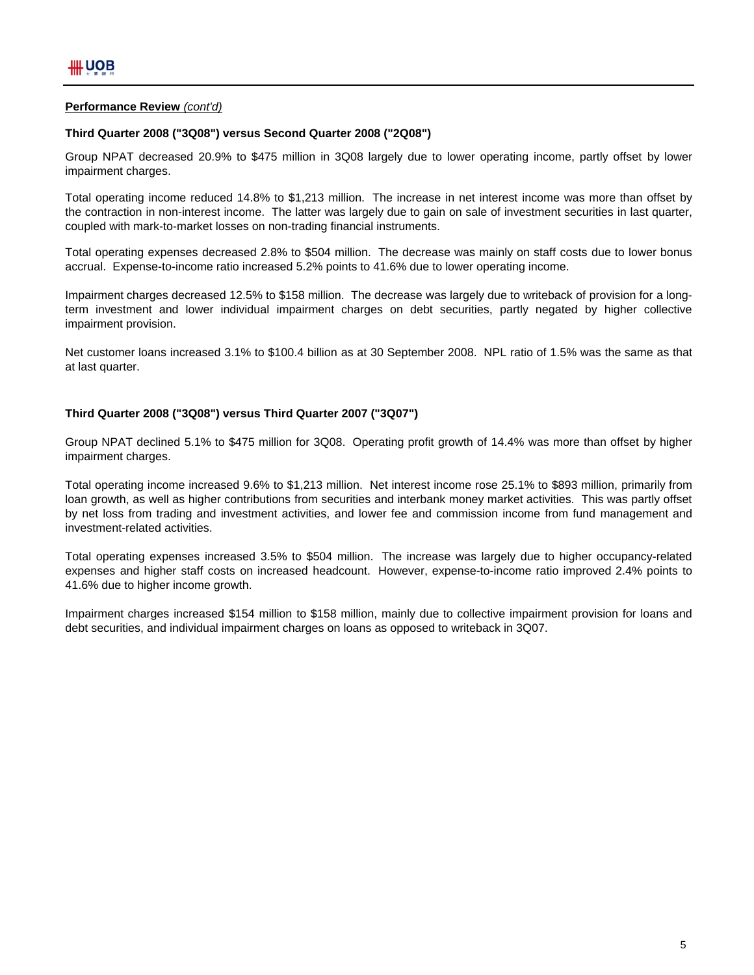## **Performance Review** *(cont'd)*

#### **Third Quarter 2008 ("3Q08") versus Second Quarter 2008 ("2Q08")**

Group NPAT decreased 20.9% to \$475 million in 3Q08 largely due to lower operating income, partly offset by lower impairment charges.

Total operating income reduced 14.8% to \$1,213 million. The increase in net interest income was more than offset by the contraction in non-interest income. The latter was largely due to gain on sale of investment securities in last quarter, coupled with mark-to-market losses on non-trading financial instruments.

Total operating expenses decreased 2.8% to \$504 million. The decrease was mainly on staff costs due to lower bonus accrual. Expense-to-income ratio increased 5.2% points to 41.6% due to lower operating income.

Impairment charges decreased 12.5% to \$158 million. The decrease was largely due to writeback of provision for a longterm investment and lower individual impairment charges on debt securities, partly negated by higher collective impairment provision.

Net customer loans increased 3.1% to \$100.4 billion as at 30 September 2008. NPL ratio of 1.5% was the same as that at last quarter.

#### **Third Quarter 2008 ("3Q08") versus Third Quarter 2007 ("3Q07")**

Group NPAT declined 5.1% to \$475 million for 3Q08. Operating profit growth of 14.4% was more than offset by higher impairment charges.

Total operating income increased 9.6% to \$1,213 million. Net interest income rose 25.1% to \$893 million, primarily from loan growth, as well as higher contributions from securities and interbank money market activities. This was partly offset by net loss from trading and investment activities, and lower fee and commission income from fund management and investment-related activities.

Total operating expenses increased 3.5% to \$504 million. The increase was largely due to higher occupancy-related expenses and higher staff costs on increased headcount. However, expense-to-income ratio improved 2.4% points to 41.6% due to higher income growth.

Impairment charges increased \$154 million to \$158 million, mainly due to collective impairment provision for loans and debt securities, and individual impairment charges on loans as opposed to writeback in 3Q07.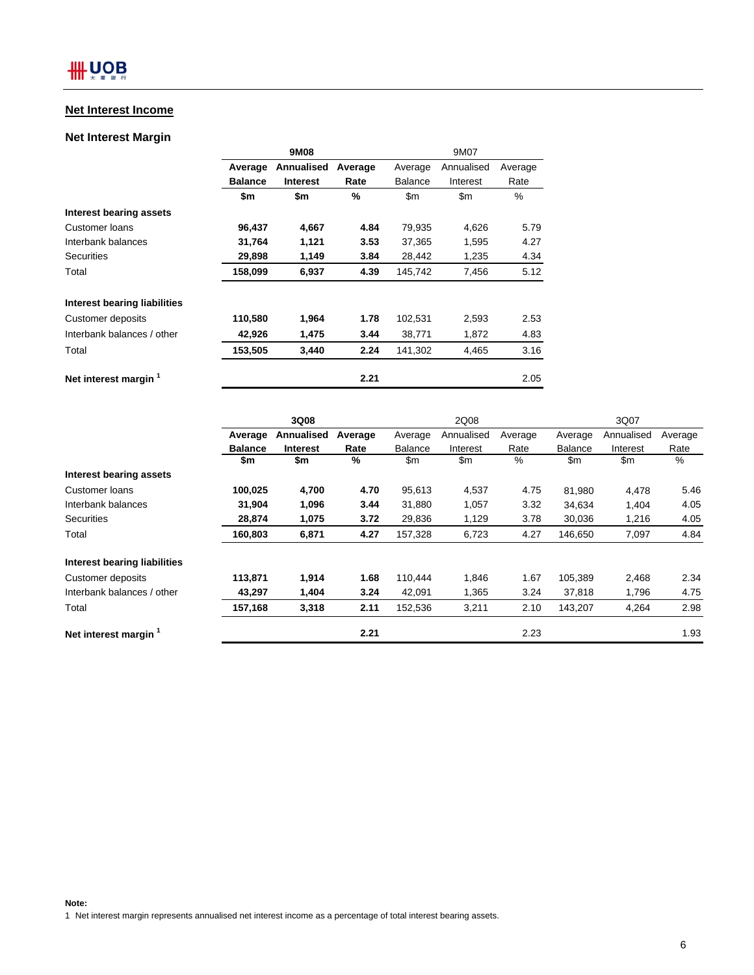## **Net Interest Income**

## **Net Interest Margin**

|                                |                | 9M08            |         | 9M07           |               |         |  |
|--------------------------------|----------------|-----------------|---------|----------------|---------------|---------|--|
|                                | Average        | Annualised      | Average | Average        | Annualised    | Average |  |
|                                | <b>Balance</b> | <b>Interest</b> | Rate    | <b>Balance</b> | Interest      | Rate    |  |
|                                | \$m            | \$m             | %       | \$m\$          | $\mathsf{Sm}$ | $\%$    |  |
| <b>Interest bearing assets</b> |                |                 |         |                |               |         |  |
| Customer Ioans                 | 96,437         | 4,667           | 4.84    | 79,935         | 4,626         | 5.79    |  |
| Interbank balances             | 31,764         | 1,121           | 3.53    | 37,365         | 1,595         | 4.27    |  |
| Securities                     | 29,898         | 1,149           | 3.84    | 28,442         | 1,235         | 4.34    |  |
| Total                          | 158,099        | 6,937           | 4.39    | 145,742        | 7,456         | 5.12    |  |
| Interest bearing liabilities   |                |                 |         |                |               |         |  |
| Customer deposits              | 110,580        | 1,964           | 1.78    | 102,531        | 2,593         | 2.53    |  |
| Interbank balances / other     | 42,926         | 1,475           | 3.44    | 38,771         | 1,872         | 4.83    |  |
| Total                          | 153,505        | 3,440           | 2.24    | 141,302        | 4,465         | 3.16    |  |
| Net interest margin 1          |                |                 | 2.21    |                |               | 2.05    |  |

|                                     | 3Q08           |                 |         |                | 2Q08       |         |                | 3Q07       |         |  |
|-------------------------------------|----------------|-----------------|---------|----------------|------------|---------|----------------|------------|---------|--|
|                                     | Average        | Annualised      | Average | Average        | Annualised | Average | Average        | Annualised | Average |  |
|                                     | <b>Balance</b> | <b>Interest</b> | Rate    | <b>Balance</b> | Interest   | Rate    | <b>Balance</b> | Interest   | Rate    |  |
|                                     | \$m            | \$m             | %       | \$m            | \$m        | $\%$    | \$m            | \$m        | %       |  |
| <b>Interest bearing assets</b>      |                |                 |         |                |            |         |                |            |         |  |
| Customer loans                      | 100,025        | 4,700           | 4.70    | 95,613         | 4,537      | 4.75    | 81,980         | 4,478      | 5.46    |  |
| Interbank balances                  | 31,904         | 1,096           | 3.44    | 31,880         | 1,057      | 3.32    | 34,634         | 1,404      | 4.05    |  |
| <b>Securities</b>                   | 28,874         | 1,075           | 3.72    | 29,836         | 1,129      | 3.78    | 30,036         | 1,216      | 4.05    |  |
| Total                               | 160,803        | 6,871           | 4.27    | 157,328        | 6,723      | 4.27    | 146,650        | 7,097      | 4.84    |  |
| <b>Interest bearing liabilities</b> |                |                 |         |                |            |         |                |            |         |  |
| Customer deposits                   | 113,871        | 1,914           | 1.68    | 110,444        | 1,846      | 1.67    | 105,389        | 2,468      | 2.34    |  |
| Interbank balances / other          | 43,297         | 1,404           | 3.24    | 42,091         | 1,365      | 3.24    | 37,818         | 1,796      | 4.75    |  |
| Total                               | 157,168        | 3,318           | 2.11    | 152,536        | 3,211      | 2.10    | 143,207        | 4,264      | 2.98    |  |
| Net interest margin 1               |                |                 | 2.21    |                |            | 2.23    |                |            | 1.93    |  |

**Note:** 1 Net interest margin represents annualised net interest income as a percentage of total interest bearing assets.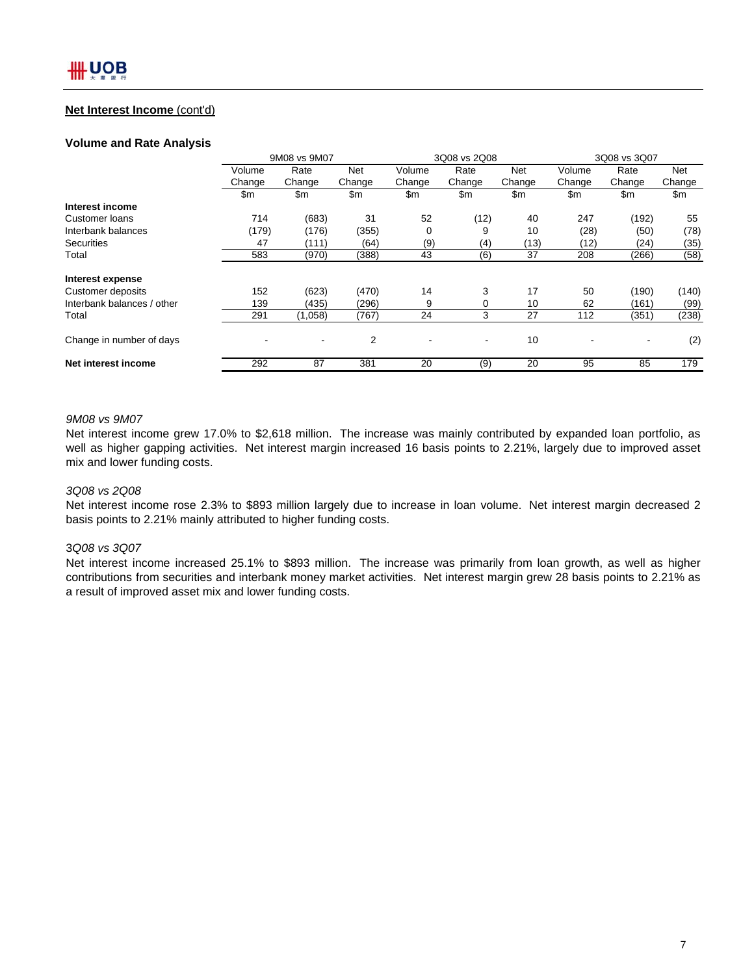## **Net Interest Income** (cont'd)

#### **Volume and Rate Analysis**

|                            | 9M08 vs 9M07 |         |        | 3Q08 vs 2Q08 |                          |        | 3Q08 vs 3Q07 |        |            |
|----------------------------|--------------|---------|--------|--------------|--------------------------|--------|--------------|--------|------------|
|                            | Volume       | Rate    | Net    | Volume       | Rate                     | Net    | Volume       | Rate   | <b>Net</b> |
|                            | Change       | Change  | Change | Change       | Change                   | Change | Change       | Change | Change     |
|                            | \$m          | \$m     | \$m    | \$m          | \$m                      | \$m    | \$m          | \$m    | \$m        |
| Interest income            |              |         |        |              |                          |        |              |        |            |
| <b>Customer loans</b>      | 714          | (683)   | 31     | 52           | (12)                     | 40     | 247          | (192)  | 55         |
| Interbank balances         | (179)        | (176)   | (355)  | 0            | 9                        | 10     | (28)         | (50)   | (78)       |
| <b>Securities</b>          | 47           | (111)   | (64)   | (9)          | (4)                      | (13)   | (12)         | (24)   | (35)       |
| Total                      | 583          | (970)   | (388)  | 43           | (6)                      | 37     | 208          | (266)  | (58)       |
| Interest expense           |              |         |        |              |                          |        |              |        |            |
| Customer deposits          | 152          | (623)   | (470)  | 14           | 3                        | 17     | 50           | (190)  | (140)      |
| Interbank balances / other | 139          | (435)   | (296)  | 9            | 0                        | 10     | 62           | (161)  | (99)       |
| Total                      | 291          | (1,058) | (767)  | 24           | 3                        | 27     | 112          | (351)  | (238)      |
| Change in number of days   |              |         | 2      |              | $\overline{\phantom{a}}$ | 10     |              |        | (2)        |
| Net interest income        | 292          | 87      | 381    | 20           | (9)                      | 20     | 95           | 85     | 179        |

#### *9M08 vs 9M07*

Net interest income grew 17.0% to \$2,618 million. The increase was mainly contributed by expanded loan portfolio, as well as higher gapping activities. Net interest margin increased 16 basis points to 2.21%, largely due to improved asset mix and lower funding costs.

#### *3Q08 vs 2Q08*

Net interest income rose 2.3% to \$893 million largely due to increase in loan volume. Net interest margin decreased 2 basis points to 2.21% mainly attributed to higher funding costs.

## 3*Q08 vs 3Q07*

Net interest income increased 25.1% to \$893 million. The increase was primarily from loan growth, as well as higher contributions from securities and interbank money market activities. Net interest margin grew 28 basis points to 2.21% as a result of improved asset mix and lower funding costs.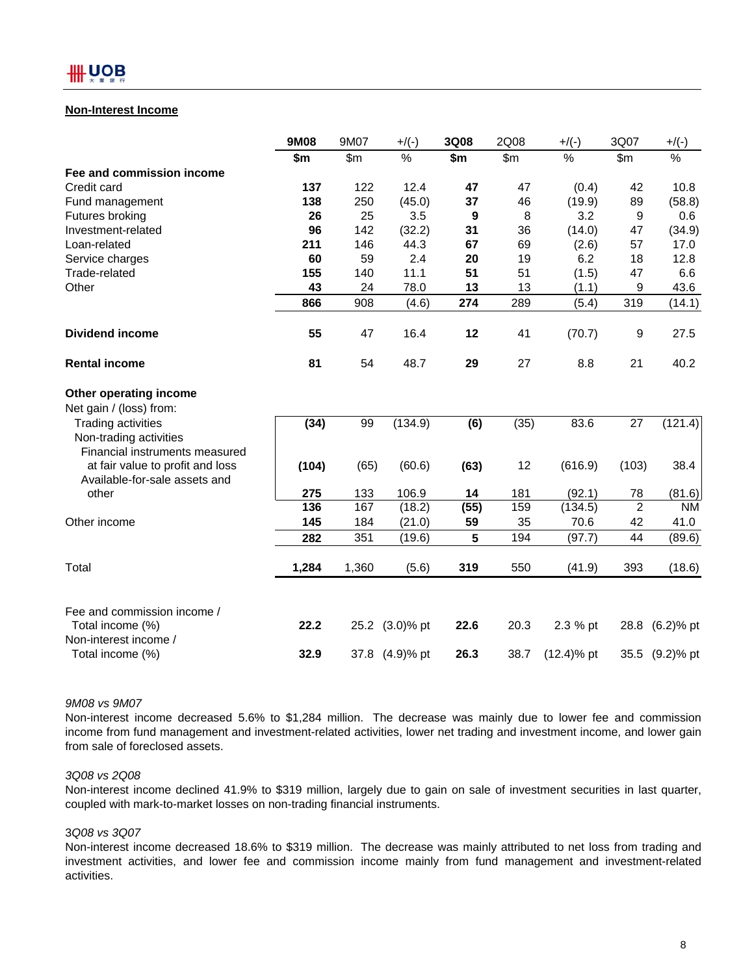### **Non-Interest Income**

|                                                                   | 9M08  | 9M07  | $+$ /(-)       | 3Q08 | 2Q08  | $+$ /(-)      | 3Q07           | $+$ /(-)       |
|-------------------------------------------------------------------|-------|-------|----------------|------|-------|---------------|----------------|----------------|
|                                                                   | \$m   | \$m\$ | $\%$           | \$m  | \$m\$ | %             | \$m\$          | $\%$           |
| Fee and commission income                                         |       |       |                |      |       |               |                |                |
| Credit card                                                       | 137   | 122   | 12.4           | 47   | 47    | (0.4)         | 42             | 10.8           |
| Fund management                                                   | 138   | 250   | (45.0)         | 37   | 46    | (19.9)        | 89             | (58.8)         |
| Futures broking                                                   | 26    | 25    | 3.5            | 9    | 8     | 3.2           | 9              | 0.6            |
| Investment-related                                                | 96    | 142   | (32.2)         | 31   | 36    | (14.0)        | 47             | (34.9)         |
| Loan-related                                                      | 211   | 146   | 44.3           | 67   | 69    | (2.6)         | 57             | 17.0           |
| Service charges                                                   | 60    | 59    | 2.4            | 20   | 19    | 6.2           | 18             | 12.8           |
| Trade-related                                                     | 155   | 140   | 11.1           | 51   | 51    | (1.5)         | 47             | 6.6            |
| Other                                                             | 43    | 24    | 78.0           | 13   | 13    | (1.1)         | 9              | 43.6           |
|                                                                   | 866   | 908   | (4.6)          | 274  | 289   | (5.4)         | 319            | (14.1)         |
| <b>Dividend income</b>                                            | 55    | 47    | 16.4           | 12   | 41    | (70.7)        | 9              | 27.5           |
| <b>Rental income</b>                                              | 81    | 54    | 48.7           | 29   | 27    | 8.8           | 21             | 40.2           |
| Other operating income                                            |       |       |                |      |       |               |                |                |
| Net gain / (loss) from:                                           |       |       |                |      |       |               |                |                |
| <b>Trading activities</b>                                         | (34)  | 99    | (134.9)        | (6)  | (35)  | 83.6          | 27             | (121.4)        |
| Non-trading activities                                            |       |       |                |      |       |               |                |                |
| Financial instruments measured                                    |       |       |                |      |       |               |                |                |
| at fair value to profit and loss<br>Available-for-sale assets and | (104) | (65)  | (60.6)         | (63) | 12    | (616.9)       | (103)          | 38.4           |
| other                                                             | 275   | 133   | 106.9          | 14   | 181   | (92.1)        | 78             | (81.6)         |
|                                                                   | 136   | 167   | (18.2)         | (55) | 159   | (134.5)       | $\overline{2}$ | <b>NM</b>      |
| Other income                                                      | 145   | 184   | (21.0)         | 59   | 35    | 70.6          | 42             | 41.0           |
|                                                                   | 282   | 351   | (19.6)         | 5    | 194   | (97.7)        | 44             | (89.6)         |
| Total                                                             | 1,284 | 1,360 | (5.6)          | 319  | 550   | (41.9)        | 393            | (18.6)         |
| Fee and commission income /                                       |       |       |                |      |       |               |                |                |
| Total income (%)<br>Non-interest income /                         | 22.2  |       | 25.2 (3.0)% pt | 22.6 | 20.3  | 2.3 % pt      |                | 28.8 (6.2)% pt |
| Total income (%)                                                  | 32.9  |       | 37.8 (4.9)% pt | 26.3 | 38.7  | $(12.4)$ % pt |                | 35.5 (9.2)% pt |

*9M08 vs 9M07*

Non-interest income decreased 5.6% to \$1,284 million. The decrease was mainly due to lower fee and commission income from fund management and investment-related activities, lower net trading and investment income, and lower gain from sale of foreclosed assets.

#### *3Q08 vs 2Q08*

Non-interest income declined 41.9% to \$319 million, largely due to gain on sale of investment securities in last quarter, coupled with mark-to-market losses on non-trading financial instruments.

#### 3*Q08 vs 3Q07*

Non-interest income decreased 18.6% to \$319 million. The decrease was mainly attributed to net loss from trading and investment activities, and lower fee and commission income mainly from fund management and investment-related activities.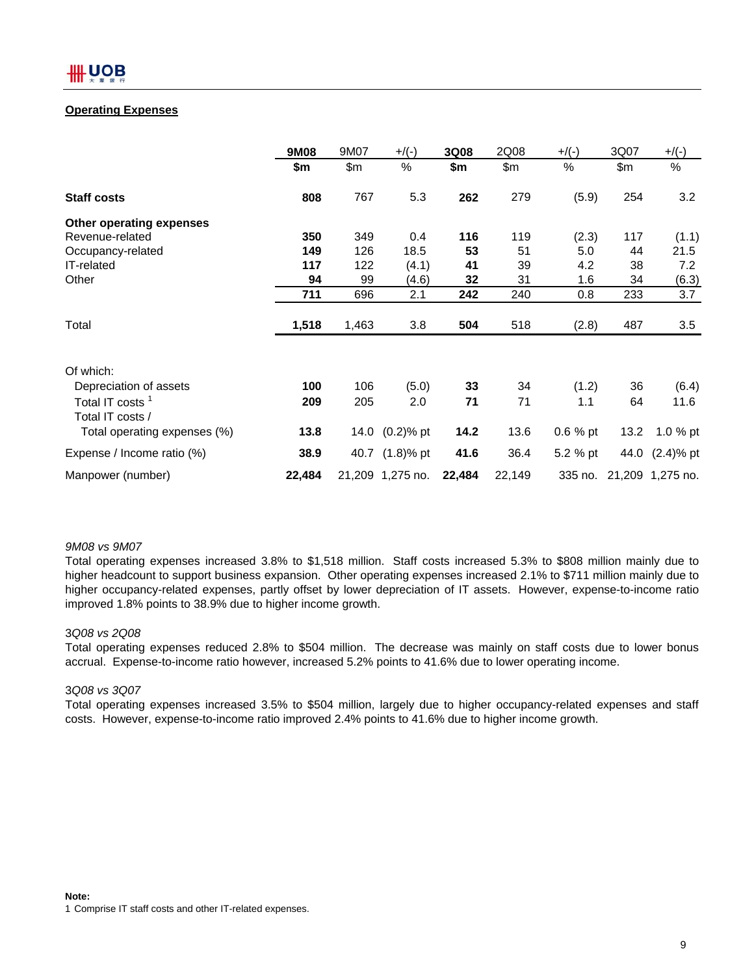## **Operating Expenses**

|                                                 | 9M08   | 9M07  | $+$ /(-)         | 3Q08   | 2Q08   | $+/(-)$   | 3Q07  | $+$ /(-)                 |
|-------------------------------------------------|--------|-------|------------------|--------|--------|-----------|-------|--------------------------|
|                                                 | \$m    | \$m\$ | $\%$             | \$m    | \$m\$  | %         | \$m\$ | %                        |
| <b>Staff costs</b>                              | 808    | 767   | 5.3              | 262    | 279    | (5.9)     | 254   | 3.2                      |
| Other operating expenses                        |        |       |                  |        |        |           |       |                          |
| Revenue-related                                 | 350    | 349   | 0.4              | 116    | 119    | (2.3)     | 117   | (1.1)                    |
| Occupancy-related                               | 149    | 126   | 18.5             | 53     | 51     | 5.0       | 44    | 21.5                     |
| IT-related                                      | 117    | 122   | (4.1)            | 41     | 39     | 4.2       | 38    | 7.2                      |
| Other                                           | 94     | 99    | (4.6)            | 32     | 31     | 1.6       | 34    | (6.3)                    |
|                                                 | 711    | 696   | 2.1              | 242    | 240    | 0.8       | 233   | 3.7                      |
| Total                                           | 1,518  | 1,463 | 3.8              | 504    | 518    | (2.8)     | 487   | 3.5                      |
| Of which:                                       |        |       |                  |        |        |           |       |                          |
| Depreciation of assets                          | 100    | 106   | (5.0)            | 33     | 34     | (1.2)     | 36    | (6.4)                    |
| Total IT costs <sup>1</sup><br>Total IT costs / | 209    | 205   | 2.0              | 71     | 71     | 1.1       | 64    | 11.6                     |
| Total operating expenses (%)                    | 13.8   |       | 14.0 (0.2)% pt   | 14.2   | 13.6   | $0.6%$ pt | 13.2  | 1.0 $%$ pt               |
| Expense / Income ratio (%)                      | 38.9   |       | 40.7 (1.8)% pt   | 41.6   | 36.4   | 5.2 % pt  |       | 44.0 (2.4)% pt           |
| Manpower (number)                               | 22,484 |       | 21,209 1,275 no. | 22,484 | 22,149 |           |       | 335 no. 21,209 1,275 no. |

#### *9M08 vs 9M07*

Total operating expenses increased 3.8% to \$1,518 million. Staff costs increased 5.3% to \$808 million mainly due to higher headcount to support business expansion. Other operating expenses increased 2.1% to \$711 million mainly due to higher occupancy-related expenses, partly offset by lower depreciation of IT assets. However, expense-to-income ratio improved 1.8% points to 38.9% due to higher income growth.

## 3*Q08 vs 2Q08*

Total operating expenses reduced 2.8% to \$504 million. The decrease was mainly on staff costs due to lower bonus accrual. Expense-to-income ratio however, increased 5.2% points to 41.6% due to lower operating income.

## 3*Q08 vs 3Q07*

Total operating expenses increased 3.5% to \$504 million, largely due to higher occupancy-related expenses and staff costs. However, expense-to-income ratio improved 2.4% points to 41.6% due to higher income growth.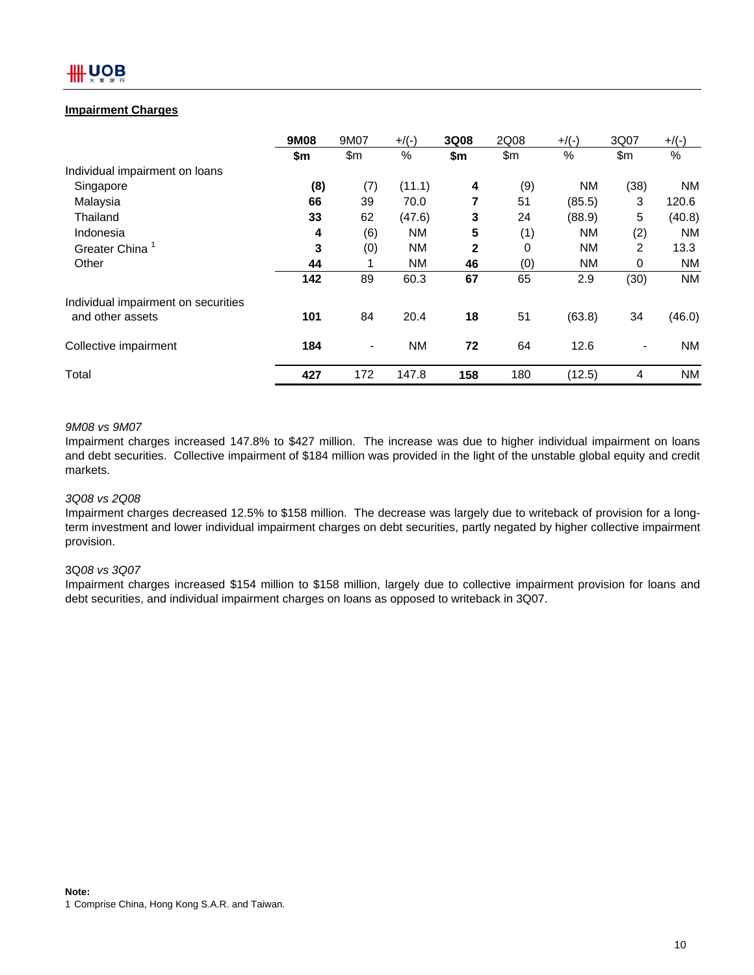## **Impairment Charges**

|                                     | 9M08 | 9M07                     | $+$ /(-)  | 3Q08         | 2Q08 | $+$ /(-)  | 3Q07                     | $+$ /(-)  |
|-------------------------------------|------|--------------------------|-----------|--------------|------|-----------|--------------------------|-----------|
|                                     | \$m  | \$m                      | %         | \$m          | \$m  | %         | \$m                      | $\%$      |
| Individual impairment on loans      |      |                          |           |              |      |           |                          |           |
| Singapore                           | (8)  | (7)                      | (11.1)    | 4            | (9)  | <b>NM</b> | (38)                     | NM        |
| Malaysia                            | 66   | 39                       | 70.0      | 7            | 51   | (85.5)    | 3                        | 120.6     |
| Thailand                            | 33   | 62                       | (47.6)    | 3            | 24   | (88.9)    | 5                        | (40.8)    |
| Indonesia                           | 4    | (6)                      | <b>NM</b> | 5            | (1)  | <b>NM</b> | (2)                      | <b>NM</b> |
| Greater China <sup>1</sup>          | 3    | (0)                      | <b>NM</b> | $\mathbf{2}$ | 0    | <b>NM</b> | 2                        | 13.3      |
| Other                               | 44   |                          | <b>NM</b> | 46           | (0)  | <b>NM</b> | 0                        | ΝM        |
|                                     | 142  | 89                       | 60.3      | 67           | 65   | 2.9       | (30)                     | <b>NM</b> |
| Individual impairment on securities |      |                          |           |              |      |           |                          |           |
| and other assets                    | 101  | 84                       | 20.4      | 18           | 51   | (63.8)    | 34                       | (46.0)    |
| Collective impairment               | 184  | $\overline{\phantom{a}}$ | <b>NM</b> | 72           | 64   | 12.6      | $\overline{\phantom{0}}$ | <b>NM</b> |
| Total                               | 427  | 172                      | 147.8     | 158          | 180  | (12.5)    | 4                        | ΝM        |

## *9M08 vs 9M07*

Impairment charges increased 147.8% to \$427 million. The increase was due to higher individual impairment on loans and debt securities. Collective impairment of \$184 million was provided in the light of the unstable global equity and credit markets.

#### *3Q08 vs 2Q08*

Impairment charges decreased 12.5% to \$158 million. The decrease was largely due to writeback of provision for a longterm investment and lower individual impairment charges on debt securities, partly negated by higher collective impairment provision.

#### 3Q*08 vs 3Q07*

Impairment charges increased \$154 million to \$158 million, largely due to collective impairment provision for loans and debt securities, and individual impairment charges on loans as opposed to writeback in 3Q07.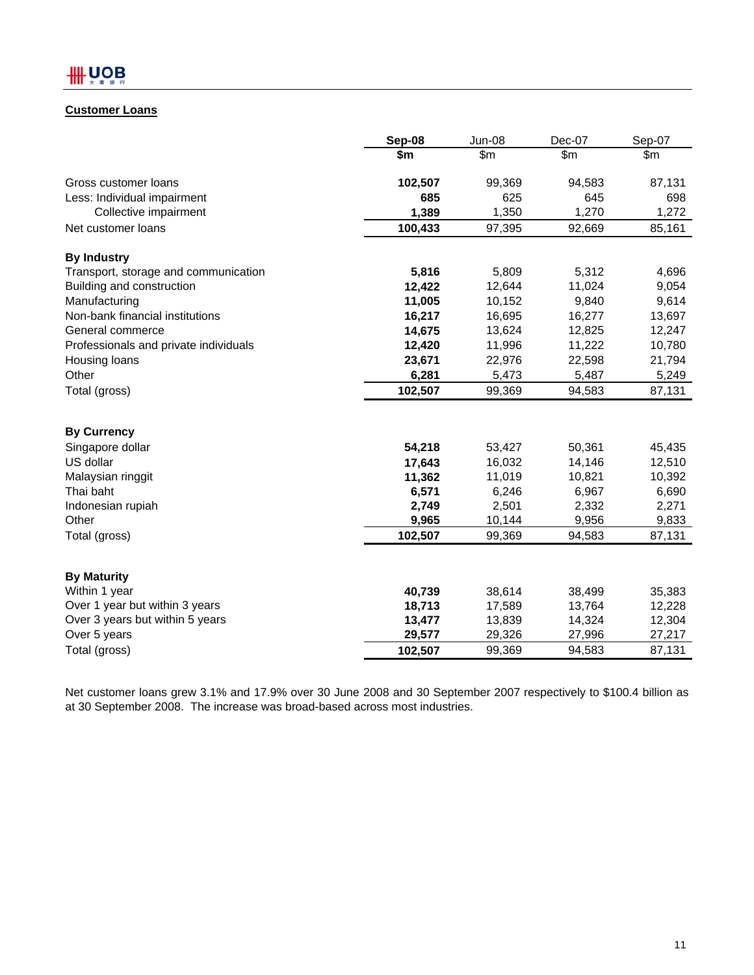## **Customer Loans**

|                                       | Sep-08           | <b>Jun-08</b>    | Dec-07           | Sep-07           |
|---------------------------------------|------------------|------------------|------------------|------------------|
|                                       | \$m              | \$m\$            | \$m\$            | \$m              |
| Gross customer loans                  | 102,507          | 99,369           | 94,583           | 87,131           |
| Less: Individual impairment           | 685              | 625              | 645              | 698              |
| Collective impairment                 | 1,389            | 1,350            | 1,270            | 1,272            |
| Net customer loans                    | 100,433          | 97,395           | 92,669           | 85,161           |
| <b>By Industry</b>                    |                  |                  |                  |                  |
| Transport, storage and communication  | 5,816            | 5,809            | 5,312            | 4,696            |
| Building and construction             | 12,422           | 12,644           | 11,024           | 9,054            |
| Manufacturing                         | 11,005           | 10,152           | 9,840            | 9,614            |
| Non-bank financial institutions       | 16,217           | 16,695           | 16,277           | 13,697           |
| General commerce                      | 14,675           | 13,624           | 12,825           | 12,247           |
| Professionals and private individuals | 12,420           | 11,996           | 11,222           | 10,780           |
| Housing loans                         | 23,671           | 22,976           | 22,598           | 21,794           |
| Other                                 | 6,281            | 5,473            | 5,487            | 5,249            |
| Total (gross)                         | 102,507          | 99,369           | 94,583           | 87,131           |
|                                       |                  |                  |                  |                  |
| <b>By Currency</b>                    |                  |                  |                  |                  |
| Singapore dollar<br>US dollar         | 54,218           | 53,427           | 50,361           | 45,435           |
|                                       | 17,643<br>11,362 | 16,032<br>11,019 | 14,146<br>10,821 | 12,510<br>10,392 |
| Malaysian ringgit<br>Thai baht        | 6,571            | 6,246            | 6,967            | 6,690            |
| Indonesian rupiah                     | 2,749            | 2,501            | 2,332            | 2,271            |
| Other                                 | 9,965            | 10,144           | 9,956            | 9,833            |
| Total (gross)                         | 102,507          | 99,369           | 94,583           | 87,131           |
|                                       |                  |                  |                  |                  |
| <b>By Maturity</b>                    |                  |                  |                  |                  |
| Within 1 year                         | 40,739           | 38,614           | 38,499           | 35,383           |
| Over 1 year but within 3 years        | 18,713           | 17,589           | 13,764           | 12,228           |
| Over 3 years but within 5 years       | 13,477           | 13,839           | 14,324           | 12,304           |
| Over 5 years                          | 29,577           | 29,326           | 27,996           | 27,217           |
| Total (gross)                         | 102,507          | 99,369           | 94,583           | 87,131           |

Net customer loans grew 3.1% and 17.9% over 30 June 2008 and 30 September 2007 respectively to \$100.4 billion as at 30 September 2008. The increase was broad-based across most industries.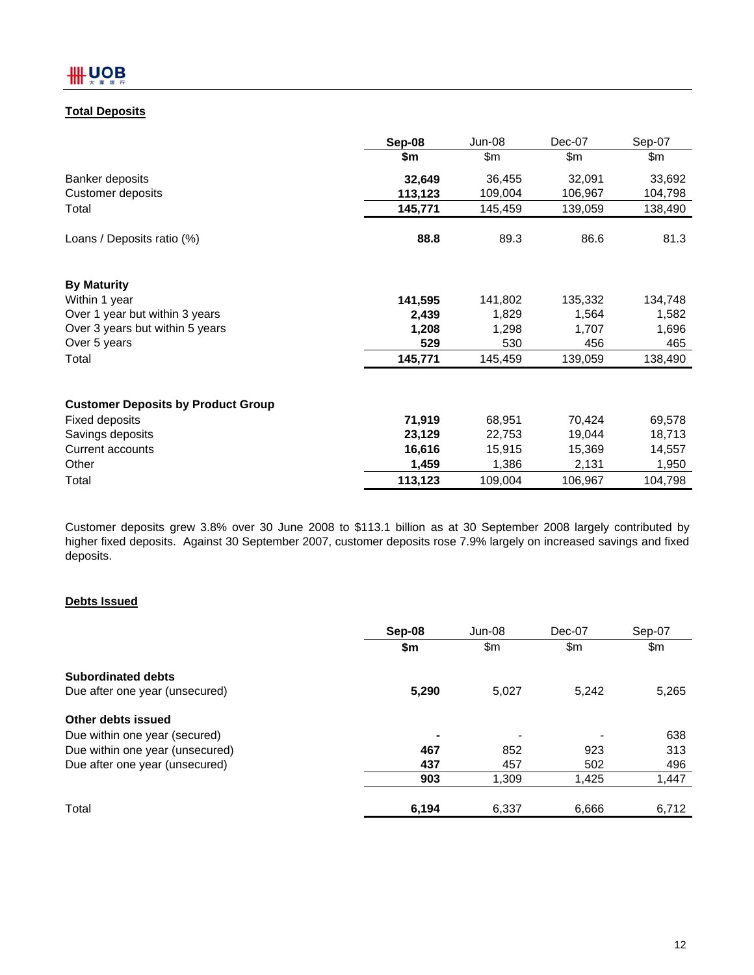## **Total Deposits**

|                                           | Sep-08  | <b>Jun-08</b> | Dec-07  | Sep-07  |
|-------------------------------------------|---------|---------------|---------|---------|
|                                           | \$m     | \$m           | \$m     | \$m     |
| Banker deposits                           | 32,649  | 36,455        | 32,091  | 33,692  |
| <b>Customer deposits</b>                  | 113,123 | 109,004       | 106,967 | 104,798 |
| Total                                     | 145,771 | 145,459       | 139,059 | 138,490 |
| Loans / Deposits ratio (%)                | 88.8    | 89.3          | 86.6    | 81.3    |
| <b>By Maturity</b>                        |         |               |         |         |
| Within 1 year                             | 141,595 | 141,802       | 135,332 | 134,748 |
| Over 1 year but within 3 years            | 2,439   | 1,829         | 1,564   | 1,582   |
| Over 3 years but within 5 years           | 1,208   | 1,298         | 1,707   | 1,696   |
| Over 5 years                              | 529     | 530           | 456     | 465     |
| Total                                     | 145,771 | 145,459       | 139,059 | 138,490 |
| <b>Customer Deposits by Product Group</b> |         |               |         |         |
| <b>Fixed deposits</b>                     | 71,919  | 68,951        | 70,424  | 69,578  |
| Savings deposits                          | 23,129  | 22,753        | 19,044  | 18,713  |
| <b>Current accounts</b>                   | 16,616  | 15,915        | 15,369  | 14,557  |
| Other                                     | 1,459   | 1,386         | 2,131   | 1,950   |
| Total                                     | 113,123 | 109,004       | 106,967 | 104,798 |

Customer deposits grew 3.8% over 30 June 2008 to \$113.1 billion as at 30 September 2008 largely contributed by higher fixed deposits. Against 30 September 2007, customer deposits rose 7.9% largely on increased savings and fixed deposits.

## **Debts Issued**

|                                 | Sep-08 | Jun-08 | Dec-07 | Sep-07 |
|---------------------------------|--------|--------|--------|--------|
|                                 | \$m    | \$m    | \$m    | \$m    |
| <b>Subordinated debts</b>       |        |        |        |        |
| Due after one year (unsecured)  | 5,290  | 5,027  | 5.242  | 5,265  |
| Other debts issued              |        |        |        |        |
| Due within one year (secured)   | ۰      |        |        | 638    |
| Due within one year (unsecured) | 467    | 852    | 923    | 313    |
| Due after one year (unsecured)  | 437    | 457    | 502    | 496    |
|                                 | 903    | 1,309  | 1,425  | 1,447  |
| Total                           | 6,194  | 6,337  | 6,666  | 6,712  |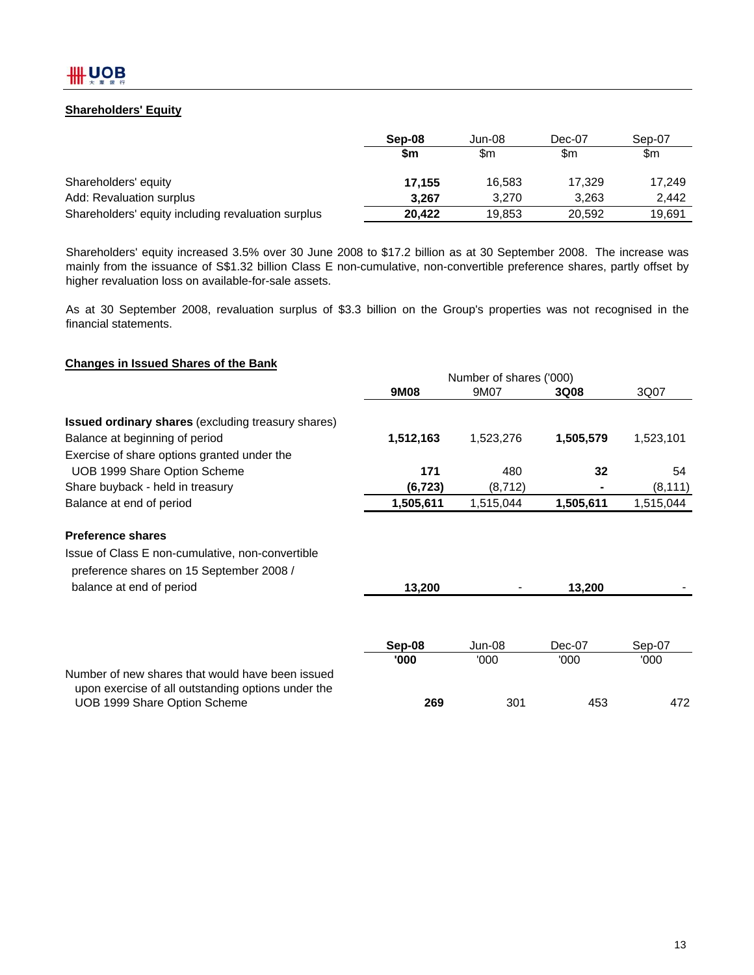## **Shareholders' Equity**

|                                                    | Sep-08 | Jun-08 | Dec-07 | Sep-07 |
|----------------------------------------------------|--------|--------|--------|--------|
|                                                    | \$m    | \$m    | \$m    | \$m    |
| Shareholders' equity                               | 17.155 | 16.583 | 17.329 | 17.249 |
| Add: Revaluation surplus                           | 3.267  | 3.270  | 3.263  | 2.442  |
| Shareholders' equity including revaluation surplus | 20.422 | 19,853 | 20.592 | 19,691 |

Shareholders' equity increased 3.5% over 30 June 2008 to \$17.2 billion as at 30 September 2008. The increase was mainly from the issuance of S\$1.32 billion Class E non-cumulative, non-convertible preference shares, partly offset by higher revaluation loss on available-for-sale assets.

As at 30 September 2008, revaluation surplus of \$3.3 billion on the Group's properties was not recognised in the financial statements.

#### **Changes in Issued Shares of the Bank**

|                                                                                                        |           | Number of shares ('000) |             |           |
|--------------------------------------------------------------------------------------------------------|-----------|-------------------------|-------------|-----------|
|                                                                                                        | 9M08      | 9M07                    | <b>3Q08</b> | 3Q07      |
| <b>Issued ordinary shares (excluding treasury shares)</b>                                              |           |                         |             |           |
| Balance at beginning of period                                                                         | 1,512,163 | 1,523,276               | 1,505,579   | 1,523,101 |
| Exercise of share options granted under the                                                            |           |                         |             |           |
| UOB 1999 Share Option Scheme                                                                           | 171       | 480                     | 32          | 54        |
| Share buyback - held in treasury                                                                       | (6, 723)  | (8, 712)                |             | (8, 111)  |
| Balance at end of period                                                                               | 1,505,611 | 1,515,044               | 1,505,611   | 1,515,044 |
| <b>Preference shares</b>                                                                               |           |                         |             |           |
| Issue of Class E non-cumulative, non-convertible<br>preference shares on 15 September 2008 /           |           |                         |             |           |
| balance at end of period                                                                               | 13,200    |                         | 13,200      |           |
|                                                                                                        |           |                         |             |           |
|                                                                                                        | Sep-08    | Jun-08                  | Dec-07      | Sep-07    |
|                                                                                                        | '000      | '000                    | '000        | '000      |
| Number of new shares that would have been issued<br>upon exercise of all outstanding options under the |           |                         |             |           |
| UOB 1999 Share Option Scheme                                                                           | 269       | 301                     | 453         | 472       |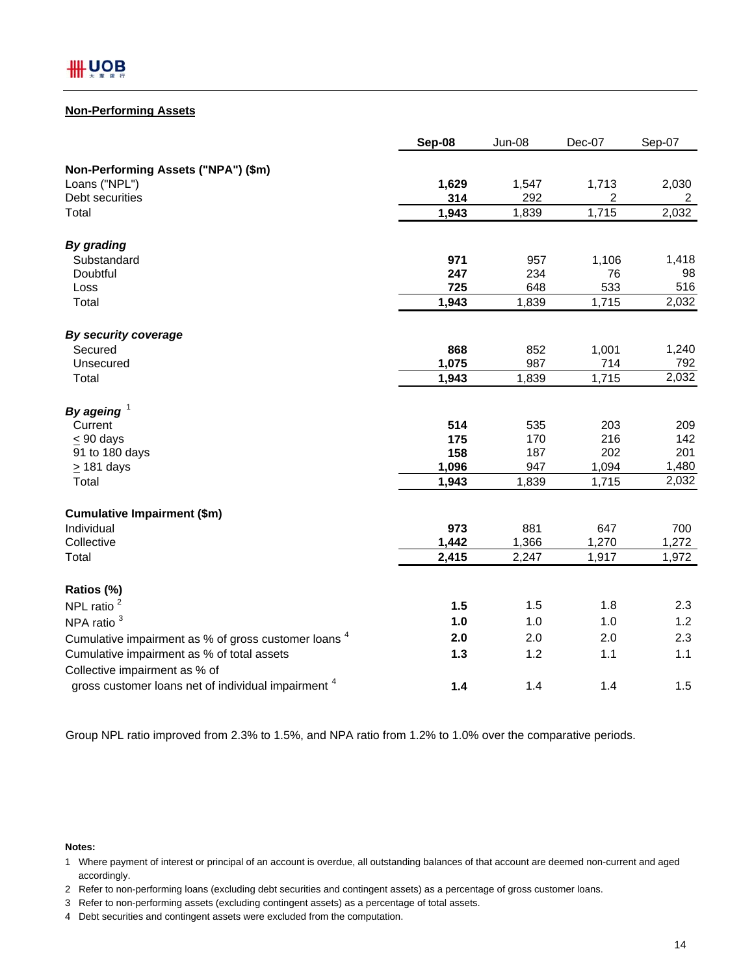#### **Non-Performing Assets**

|                                                                | Sep-08 | <b>Jun-08</b> | Dec-07         | Sep-07 |
|----------------------------------------------------------------|--------|---------------|----------------|--------|
| Non-Performing Assets ("NPA") (\$m)                            |        |               |                |        |
| Loans ("NPL")                                                  | 1,629  | 1,547         | 1,713          | 2,030  |
| Debt securities                                                | 314    | 292           | $\overline{2}$ | 2      |
| Total                                                          | 1,943  | 1,839         | 1,715          | 2,032  |
| <b>By grading</b>                                              |        |               |                |        |
| Substandard                                                    | 971    | 957           | 1,106          | 1,418  |
| Doubtful                                                       | 247    | 234           | 76             | 98     |
| Loss                                                           | 725    | 648           | 533            | 516    |
| Total                                                          | 1,943  | 1,839         | 1,715          | 2,032  |
| By security coverage                                           |        |               |                |        |
| Secured                                                        | 868    | 852           | 1,001          | 1,240  |
| Unsecured                                                      | 1,075  | 987           | 714            | 792    |
| Total                                                          | 1,943  | 1,839         | 1,715          | 2,032  |
| By ageing $1$                                                  |        |               |                |        |
| Current                                                        | 514    | 535           | 203            | 209    |
| $< 90$ days                                                    | 175    | 170           | 216            | 142    |
| 91 to 180 days                                                 | 158    | 187           | 202            | 201    |
| $\geq$ 181 days                                                | 1,096  | 947           | 1,094          | 1,480  |
| Total                                                          | 1,943  | 1,839         | 1,715          | 2,032  |
| <b>Cumulative Impairment (\$m)</b>                             |        |               |                |        |
| Individual                                                     | 973    | 881           | 647            | 700    |
| Collective                                                     | 1,442  | 1,366         | 1,270          | 1,272  |
| Total                                                          | 2,415  | 2,247         | 1,917          | 1,972  |
| Ratios (%)                                                     |        |               |                |        |
| NPL ratio <sup>2</sup>                                         | 1.5    | 1.5           | 1.8            | 2.3    |
| NPA ratio <sup>3</sup>                                         | 1.0    | 1.0           | 1.0            | 1.2    |
| Cumulative impairment as % of gross customer loans 4           | 2.0    | 2.0           | 2.0            | 2.3    |
| Cumulative impairment as % of total assets                     | 1.3    | 1.2           | 1.1            | 1.1    |
| Collective impairment as % of                                  |        |               |                |        |
| gross customer loans net of individual impairment <sup>4</sup> | 1.4    | 1.4           | 1.4            | 1.5    |

Group NPL ratio improved from 2.3% to 1.5%, and NPA ratio from 1.2% to 1.0% over the comparative periods.

#### **Notes:**

4 Debt securities and contingent assets were excluded from the computation.

<sup>1</sup> Where payment of interest or principal of an account is overdue, all outstanding balances of that account are deemed non-current and aged accordingly.

<sup>2</sup> Refer to non-performing loans (excluding debt securities and contingent assets) as a percentage of gross customer loans.

<sup>3</sup> Refer to non-performing assets (excluding contingent assets) as a percentage of total assets.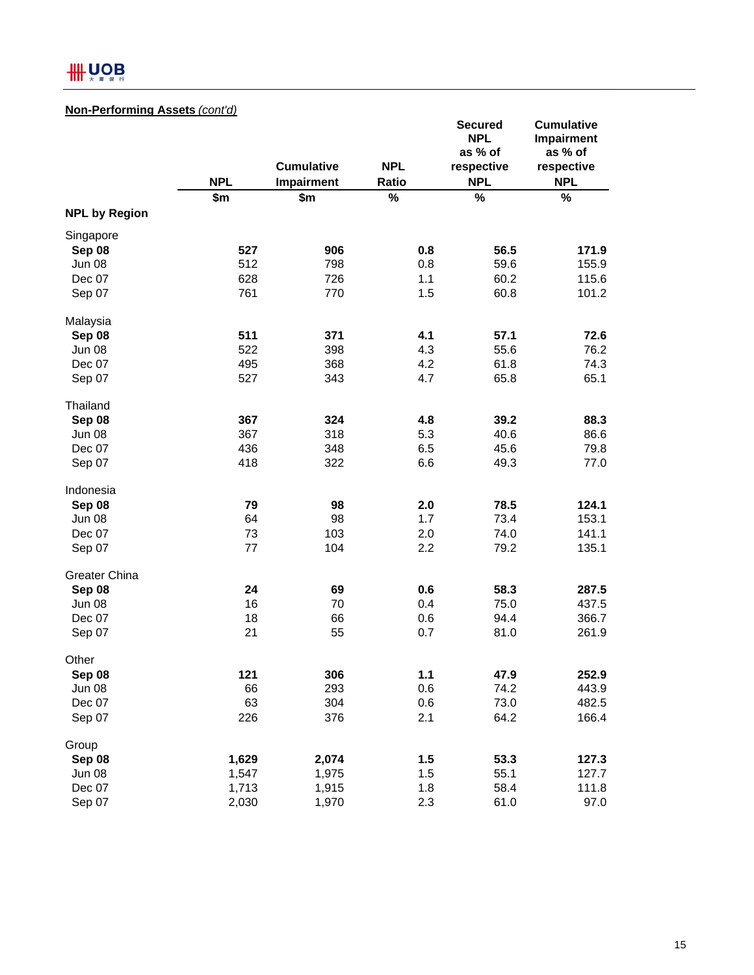# **HH UOB**

## **Non-Performing Assets** *(cont'd)*

|                      | <b>NPL</b> | <b>Cumulative</b><br>Impairment | <b>NPL</b><br>Ratio | <b>Secured</b><br><b>NPL</b><br>as % of<br>respective<br><b>NPL</b> | <b>Cumulative</b><br>Impairment<br>as % of<br>respective<br><b>NPL</b> |
|----------------------|------------|---------------------------------|---------------------|---------------------------------------------------------------------|------------------------------------------------------------------------|
|                      | \$m        | \$m                             | $\%$                | $\%$                                                                | $\%$                                                                   |
| <b>NPL by Region</b> |            |                                 |                     |                                                                     |                                                                        |
| Singapore            |            |                                 |                     |                                                                     |                                                                        |
| Sep 08               | 527        | 906                             | 0.8                 | 56.5                                                                | 171.9                                                                  |
| <b>Jun 08</b>        | 512        | 798                             | 0.8                 | 59.6                                                                | 155.9                                                                  |
| Dec 07               | 628        | 726                             | 1.1                 | 60.2                                                                | 115.6                                                                  |
| Sep 07               | 761        | 770                             | 1.5                 | 60.8                                                                | 101.2                                                                  |
| Malaysia             |            |                                 |                     |                                                                     |                                                                        |
| Sep 08               | 511        | 371                             | 4.1                 | 57.1                                                                | 72.6                                                                   |
| Jun 08               | 522        | 398                             | 4.3                 | 55.6                                                                | 76.2                                                                   |
| Dec 07               | 495        | 368                             | 4.2                 | 61.8                                                                | 74.3                                                                   |
| Sep 07               | 527        | 343                             | 4.7                 | 65.8                                                                | 65.1                                                                   |
| Thailand             |            |                                 |                     |                                                                     |                                                                        |
| Sep 08               | 367        | 324                             | 4.8                 | 39.2                                                                | 88.3                                                                   |
| Jun 08               | 367        | 318                             | 5.3                 | 40.6                                                                | 86.6                                                                   |
| Dec 07               | 436        | 348                             | 6.5                 | 45.6                                                                | 79.8                                                                   |
| Sep 07               | 418        | 322                             | 6.6                 | 49.3                                                                | 77.0                                                                   |
| Indonesia            |            |                                 |                     |                                                                     |                                                                        |
| Sep 08               | 79         | 98                              | 2.0                 | 78.5                                                                | 124.1                                                                  |
| Jun 08               | 64         | 98                              | 1.7                 | 73.4                                                                | 153.1                                                                  |
| Dec 07               | 73         | 103                             | 2.0                 | 74.0                                                                | 141.1                                                                  |
| Sep 07               | 77         | 104                             | 2.2                 | 79.2                                                                | 135.1                                                                  |
| <b>Greater China</b> |            |                                 |                     |                                                                     |                                                                        |
| Sep 08               | 24         | 69                              | 0.6                 | 58.3                                                                | 287.5                                                                  |
| <b>Jun 08</b>        | 16         | 70                              | 0.4                 | 75.0                                                                | 437.5                                                                  |
| Dec 07               | 18         | 66                              | 0.6                 | 94.4                                                                | 366.7                                                                  |
| Sep 07               | 21         | 55                              | 0.7                 | 81.0                                                                | 261.9                                                                  |
| Other                |            |                                 |                     |                                                                     |                                                                        |
| Sep 08               | 121        | 306                             | 1.1                 | 47.9                                                                | 252.9                                                                  |
| Jun 08               | 66         | 293                             | 0.6                 | 74.2                                                                | 443.9                                                                  |
| Dec 07               | 63         | 304                             | 0.6                 | 73.0                                                                | 482.5                                                                  |
| Sep 07               | 226        | 376                             | 2.1                 | 64.2                                                                | 166.4                                                                  |
| Group                |            |                                 |                     |                                                                     |                                                                        |
| Sep 08               | 1,629      | 2,074                           | 1.5                 | 53.3                                                                | 127.3                                                                  |
| Jun 08               | 1,547      | 1,975                           | 1.5                 | 55.1                                                                | 127.7                                                                  |
| Dec 07               | 1,713      | 1,915                           | 1.8                 | 58.4                                                                | 111.8                                                                  |
| Sep 07               | 2,030      | 1,970                           | 2.3                 | 61.0                                                                | 97.0                                                                   |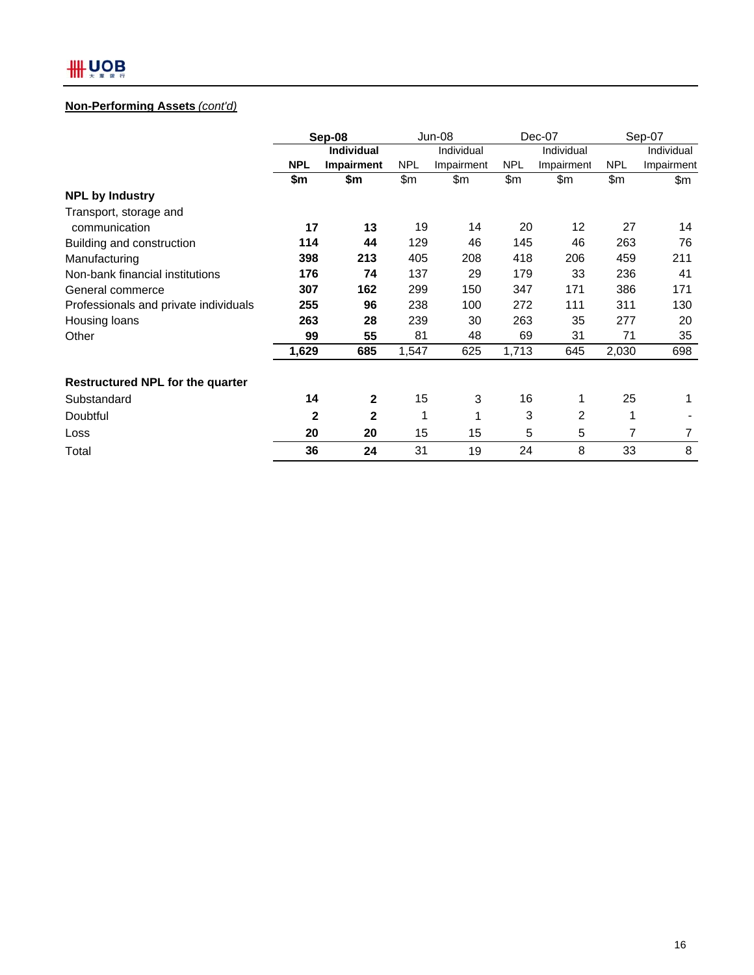## **Non-Performing Assets** *(cont'd)*

|                                         | Sep-08     |              |            | $Jun-08$   |            | $Dec-07$          |            | Sep-07     |  |
|-----------------------------------------|------------|--------------|------------|------------|------------|-------------------|------------|------------|--|
|                                         |            | Individual   | Individual |            | Individual |                   |            | Individual |  |
|                                         | <b>NPL</b> | Impairment   | <b>NPL</b> | Impairment | <b>NPL</b> | Impairment        | <b>NPL</b> | Impairment |  |
|                                         | \$m        | \$m          | \$m        | \$m        | \$m        | \$m               | \$m        | \$m        |  |
| <b>NPL by Industry</b>                  |            |              |            |            |            |                   |            |            |  |
| Transport, storage and                  |            |              |            |            |            |                   |            |            |  |
| communication                           | 17         | 13           | 19         | 14         | 20         | $12 \overline{ }$ | 27         | 14         |  |
| Building and construction               | 114        | 44           | 129        | 46         | 145        | 46                | 263        | 76         |  |
| Manufacturing                           | 398        | 213          | 405        | 208        | 418        | 206               | 459        | 211        |  |
| Non-bank financial institutions         | 176        | 74           | 137        | 29         | 179        | 33                | 236        | 41         |  |
| General commerce                        | 307        | 162          | 299        | 150        | 347        | 171               | 386        | 171        |  |
| Professionals and private individuals   | 255        | 96           | 238        | 100        | 272        | 111               | 311        | 130        |  |
| Housing loans                           | 263        | 28           | 239        | 30         | 263        | 35                | 277        | 20         |  |
| Other                                   | 99         | 55           | 81         | 48         | 69         | 31                | 71         | 35         |  |
|                                         | 1,629      | 685          | 1,547      | 625        | 1,713      | 645               | 2,030      | 698        |  |
| <b>Restructured NPL for the quarter</b> |            |              |            |            |            |                   |            |            |  |
| Substandard                             | 14         | $\mathbf{2}$ | 15         | 3          | 16         | 1                 | 25         | 1          |  |
| Doubtful                                | 2          | 2            | 1          | 1          | 3          | 2                 | 1          |            |  |
| Loss                                    | 20         | 20           | 15         | 15         | 5          | 5                 | 7          | 7          |  |
| Total                                   | 36         | 24           | 31         | 19         | 24         | 8                 | 33         | 8          |  |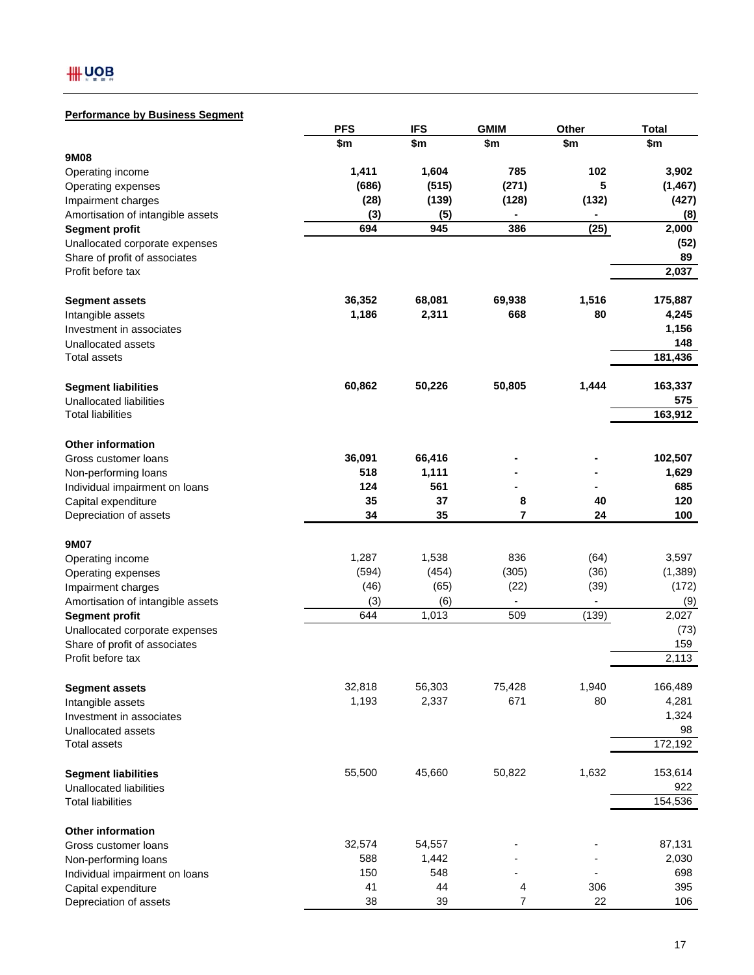## **Performance by Business Segment**

|                                   | <b>PFS</b> | <b>IFS</b> | <b>GMIM</b>   | Other | <b>Total</b> |
|-----------------------------------|------------|------------|---------------|-------|--------------|
|                                   | \$m        | \$m        | \$m           | \$m   | \$m          |
| 9M08                              |            |            |               |       |              |
| Operating income                  | 1,411      | 1,604      | 785           | 102   | 3,902        |
| Operating expenses                | (686)      | (515)      | (271)         | 5     | (1, 467)     |
| Impairment charges                | (28)       | (139)      | (128)         | (132) | (427)        |
| Amortisation of intangible assets | (3)        | (5)        | ä,            | ۰     | (8)          |
| <b>Segment profit</b>             | 694        | 945        | 386           | (25)  | 2,000        |
| Unallocated corporate expenses    |            |            |               |       | (52)         |
| Share of profit of associates     |            |            |               |       | 89           |
| Profit before tax                 |            |            |               |       | 2,037        |
| <b>Segment assets</b>             | 36,352     | 68,081     | 69,938        | 1,516 | 175,887      |
| Intangible assets                 | 1,186      | 2,311      | 668           | 80    | 4,245        |
| Investment in associates          |            |            |               |       | 1,156        |
| Unallocated assets                |            |            |               |       | 148          |
| Total assets                      |            |            |               |       | 181,436      |
| <b>Segment liabilities</b>        | 60,862     | 50,226     | 50,805        | 1,444 | 163,337      |
| Unallocated liabilities           |            |            |               |       | 575          |
| <b>Total liabilities</b>          |            |            |               |       | 163,912      |
| <b>Other information</b>          |            |            |               |       |              |
| Gross customer loans              | 36,091     | 66,416     |               |       | 102,507      |
| Non-performing loans              | 518        | 1,111      |               |       | 1,629        |
| Individual impairment on loans    | 124        | 561        |               |       | 685          |
| Capital expenditure               | 35         | 37         | 8             | 40    | 120          |
| Depreciation of assets            | 34         | 35         | 7             | 24    | 100          |
|                                   |            |            |               |       |              |
| 9M07                              |            |            |               |       |              |
| Operating income                  | 1,287      | 1,538      | 836           | (64)  | 3,597        |
| Operating expenses                | (594)      | (454)      | (305)         | (36)  | (1, 389)     |
| Impairment charges                | (46)       | (65)       | (22)          | (39)  | (172)        |
| Amortisation of intangible assets | (3)        | (6)        | $\frac{1}{2}$ |       | (9)          |
| <b>Segment profit</b>             | 644        | 1,013      | 509           | (139) | 2,027        |
| Unallocated corporate expenses    |            |            |               |       | (73)         |
| Share of profit of associates     |            |            |               |       | 159          |
| Profit before tax                 |            |            |               |       | 2,113        |
| <b>Segment assets</b>             | 32,818     | 56,303     | 75,428        | 1,940 | 166,489      |
| Intangible assets                 | 1,193      | 2,337      | 671           | 80    | 4,281        |
| Investment in associates          |            |            |               |       | 1,324        |
| Unallocated assets                |            |            |               |       | 98           |
| Total assets                      |            |            |               |       | 172,192      |
| <b>Segment liabilities</b>        | 55,500     | 45,660     | 50,822        | 1,632 | 153,614      |
| <b>Unallocated liabilities</b>    |            |            |               |       | 922          |
| <b>Total liabilities</b>          |            |            |               |       | 154,536      |
| <b>Other information</b>          |            |            |               |       |              |
| Gross customer loans              | 32,574     | 54,557     |               |       | 87,131       |
| Non-performing loans              | 588        | 1,442      |               |       | 2,030        |
| Individual impairment on loans    | 150        | 548        |               |       | 698          |
| Capital expenditure               | 41         | 44         | 4             | 306   | 395          |
| Depreciation of assets            | 38         | 39         | 7             | 22    | 106          |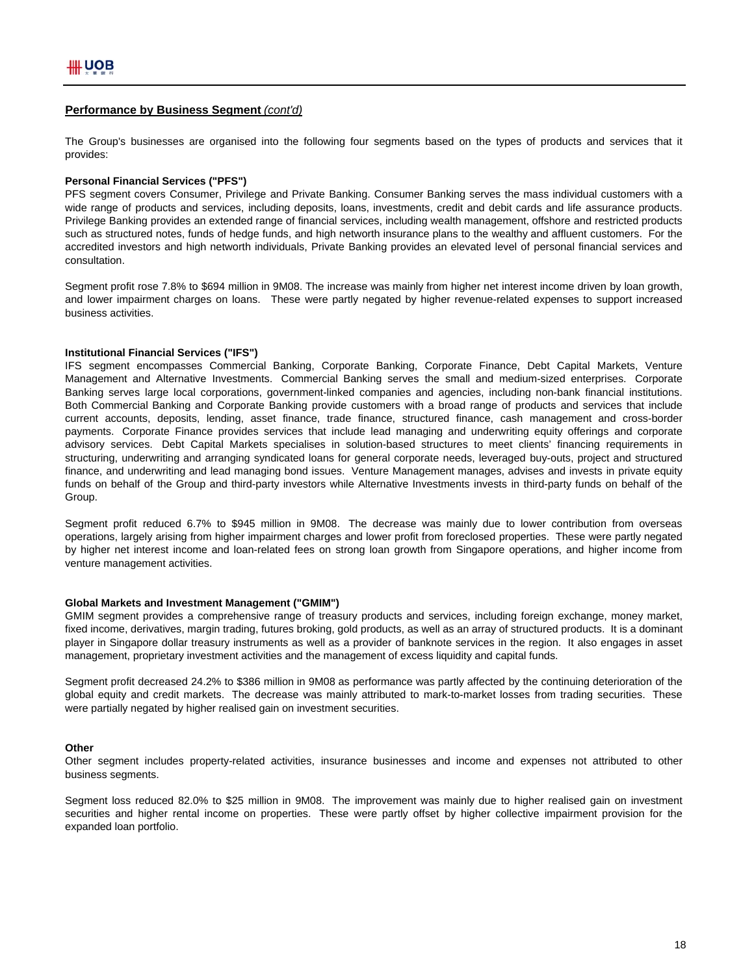#### **Performance by Business Segment** *(cont'd)*

The Group's businesses are organised into the following four segments based on the types of products and services that it provides:

#### **Personal Financial Services ("PFS")**

PFS segment covers Consumer, Privilege and Private Banking. Consumer Banking serves the mass individual customers with a wide range of products and services, including deposits, loans, investments, credit and debit cards and life assurance products. Privilege Banking provides an extended range of financial services, including wealth management, offshore and restricted products such as structured notes, funds of hedge funds, and high networth insurance plans to the wealthy and affluent customers. For the accredited investors and high networth individuals, Private Banking provides an elevated level of personal financial services and consultation.

Segment profit rose 7.8% to \$694 million in 9M08. The increase was mainly from higher net interest income driven by loan growth, and lower impairment charges on loans. These were partly negated by higher revenue-related expenses to support increased business activities.

#### **Institutional Financial Services ("IFS")**

IFS segment encompasses Commercial Banking, Corporate Banking, Corporate Finance, Debt Capital Markets, Venture Management and Alternative Investments. Commercial Banking serves the small and medium-sized enterprises. Corporate Banking serves large local corporations, government-linked companies and agencies, including non-bank financial institutions. Both Commercial Banking and Corporate Banking provide customers with a broad range of products and services that include current accounts, deposits, lending, asset finance, trade finance, structured finance, cash management and cross-border payments. Corporate Finance provides services that include lead managing and underwriting equity offerings and corporate advisory services. Debt Capital Markets specialises in solution-based structures to meet clients' financing requirements in structuring, underwriting and arranging syndicated loans for general corporate needs, leveraged buy-outs, project and structured finance, and underwriting and lead managing bond issues. Venture Management manages, advises and invests in private equity funds on behalf of the Group and third-party investors while Alternative Investments invests in third-party funds on behalf of the Group.

Segment profit reduced 6.7% to \$945 million in 9M08. The decrease was mainly due to lower contribution from overseas operations, largely arising from higher impairment charges and lower profit from foreclosed properties. These were partly negated by higher net interest income and loan-related fees on strong loan growth from Singapore operations, and higher income from venture management activities.

#### **Global Markets and Investment Management ("GMIM")**

GMIM segment provides a comprehensive range of treasury products and services, including foreign exchange, money market, fixed income, derivatives, margin trading, futures broking, gold products, as well as an array of structured products. It is a dominant player in Singapore dollar treasury instruments as well as a provider of banknote services in the region. It also engages in asset management, proprietary investment activities and the management of excess liquidity and capital funds.

Segment profit decreased 24.2% to \$386 million in 9M08 as performance was partly affected by the continuing deterioration of the global equity and credit markets. The decrease was mainly attributed to mark-to-market losses from trading securities. These were partially negated by higher realised gain on investment securities.

#### **Other**

Other segment includes property-related activities, insurance businesses and income and expenses not attributed to other business segments.

Segment loss reduced 82.0% to \$25 million in 9M08. The improvement was mainly due to higher realised gain on investment securities and higher rental income on properties. These were partly offset by higher collective impairment provision for the expanded loan portfolio.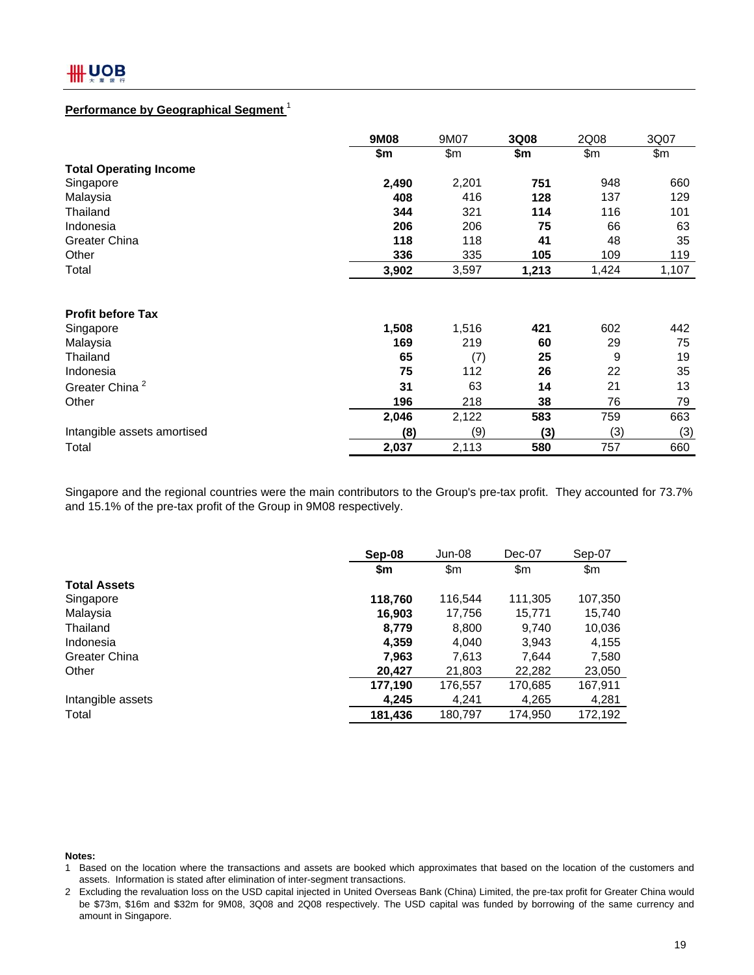## **Performance by Geographical Segment** <sup>1</sup>

|                               | 9M08  | 9M07  | 3Q08  | 2Q08  | 3Q07  |
|-------------------------------|-------|-------|-------|-------|-------|
|                               | \$m   | \$m\$ | \$m   | \$m\$ | \$m   |
| <b>Total Operating Income</b> |       |       |       |       |       |
| Singapore                     | 2,490 | 2,201 | 751   | 948   | 660   |
| Malaysia                      | 408   | 416   | 128   | 137   | 129   |
| Thailand                      | 344   | 321   | 114   | 116   | 101   |
| Indonesia                     | 206   | 206   | 75    | 66    | 63    |
| Greater China                 | 118   | 118   | 41    | 48    | 35    |
| Other                         | 336   | 335   | 105   | 109   | 119   |
| Total                         | 3,902 | 3,597 | 1,213 | 1,424 | 1,107 |
|                               |       |       |       |       |       |
| <b>Profit before Tax</b>      |       |       |       |       |       |
| Singapore                     | 1,508 | 1,516 | 421   | 602   | 442   |
| Malaysia                      | 169   | 219   | 60    | 29    | 75    |
| Thailand                      | 65    | (7)   | 25    | 9     | 19    |
| Indonesia                     | 75    | 112   | 26    | 22    | 35    |
| Greater China <sup>2</sup>    | 31    | 63    | 14    | 21    | 13    |
| Other                         | 196   | 218   | 38    | 76    | 79    |
|                               | 2,046 | 2,122 | 583   | 759   | 663   |
| Intangible assets amortised   | (8)   | (9)   | (3)   | (3)   | (3)   |
| Total                         | 2,037 | 2,113 | 580   | 757   | 660   |

Singapore and the regional countries were the main contributors to the Group's pre-tax profit. They accounted for 73.7% and 15.1% of the pre-tax profit of the Group in 9M08 respectively.

|                      | Sep-08  | Jun-08  | Dec-07  | Sep-07  |
|----------------------|---------|---------|---------|---------|
|                      | \$m     | \$m     | \$m     | \$m     |
| <b>Total Assets</b>  |         |         |         |         |
| Singapore            | 118,760 | 116,544 | 111,305 | 107,350 |
| Malaysia             | 16.903  | 17,756  | 15,771  | 15,740  |
| Thailand             | 8.779   | 8,800   | 9,740   | 10,036  |
| Indonesia            | 4,359   | 4,040   | 3,943   | 4,155   |
| <b>Greater China</b> | 7,963   | 7.613   | 7.644   | 7,580   |
| Other                | 20,427  | 21,803  | 22,282  | 23,050  |
|                      | 177,190 | 176,557 | 170,685 | 167,911 |
| Intangible assets    | 4,245   | 4,241   | 4,265   | 4,281   |
| Total                | 181,436 | 180,797 | 174,950 | 172,192 |

#### **Notes:**

<sup>1</sup> Based on the location where the transactions and assets are booked which approximates that based on the location of the customers and assets. Information is stated after elimination of inter-segment transactions.

<sup>2</sup> Excluding the revaluation loss on the USD capital injected in United Overseas Bank (China) Limited, the pre-tax profit for Greater China would be \$73m, \$16m and \$32m for 9M08, 3Q08 and 2Q08 respectively. The USD capital was funded by borrowing of the same currency and amount in Singapore.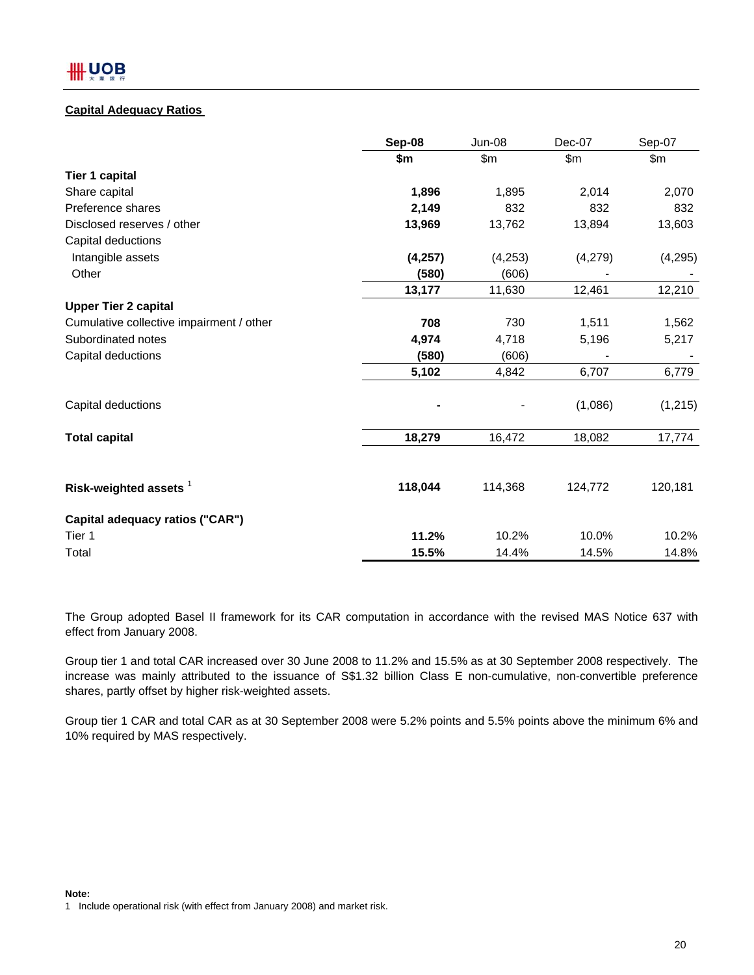## **Capital Adequacy Ratios**

|                                          | Sep-08   | <b>Jun-08</b> | Dec-07  | Sep-07   |
|------------------------------------------|----------|---------------|---------|----------|
|                                          | \$m      | \$m\$         | \$m     | \$m      |
| Tier 1 capital                           |          |               |         |          |
| Share capital                            | 1,896    | 1,895         | 2,014   | 2,070    |
| Preference shares                        | 2,149    | 832           | 832     | 832      |
| Disclosed reserves / other               | 13,969   | 13,762        | 13,894  | 13,603   |
| Capital deductions                       |          |               |         |          |
| Intangible assets                        | (4, 257) | (4,253)       | (4,279) | (4, 295) |
| Other                                    | (580)    | (606)         |         |          |
|                                          | 13,177   | 11,630        | 12,461  | 12,210   |
| <b>Upper Tier 2 capital</b>              |          |               |         |          |
| Cumulative collective impairment / other | 708      | 730           | 1,511   | 1,562    |
| Subordinated notes                       | 4,974    | 4,718         | 5,196   | 5,217    |
| Capital deductions                       | (580)    | (606)         |         |          |
|                                          | 5,102    | 4,842         | 6,707   | 6,779    |
| Capital deductions                       |          |               | (1,086) | (1, 215) |
| <b>Total capital</b>                     | 18,279   | 16,472        | 18,082  | 17,774   |
|                                          |          |               |         |          |
| Risk-weighted assets 1                   | 118,044  | 114,368       | 124,772 | 120,181  |
| Capital adequacy ratios ("CAR")          |          |               |         |          |
| Tier 1                                   | 11.2%    | 10.2%         | 10.0%   | 10.2%    |
| Total                                    | 15.5%    | 14.4%         | 14.5%   | 14.8%    |

The Group adopted Basel II framework for its CAR computation in accordance with the revised MAS Notice 637 with effect from January 2008.

Group tier 1 and total CAR increased over 30 June 2008 to 11.2% and 15.5% as at 30 September 2008 respectively. The increase was mainly attributed to the issuance of S\$1.32 billion Class E non-cumulative, non-convertible preference shares, partly offset by higher risk-weighted assets.

Group tier 1 CAR and total CAR as at 30 September 2008 were 5.2% points and 5.5% points above the minimum 6% and 10% required by MAS respectively.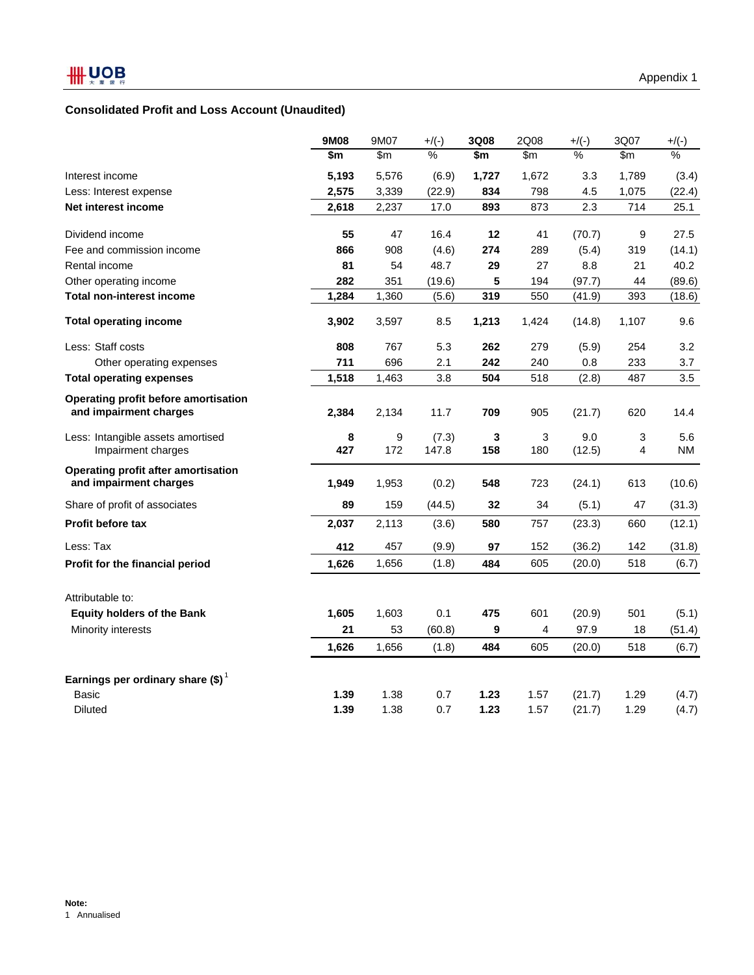## **Consolidated Profit and Loss Account (Unaudited)**

|                                                                | 9M08     | 9M07     | $+$ /(-)       | 3Q08     | 2Q08     | $+/(-)$       | 3Q07   | $+$ /(-)         |
|----------------------------------------------------------------|----------|----------|----------------|----------|----------|---------------|--------|------------------|
|                                                                | \$m      | \$m\$    | $\frac{9}{6}$  | \$m      | \$m\$    | $\%$          | \$m    | $\frac{9}{6}$    |
| Interest income                                                | 5,193    | 5,576    | (6.9)          | 1,727    | 1,672    | 3.3           | 1,789  | (3.4)            |
| Less: Interest expense                                         | 2,575    | 3,339    | (22.9)         | 834      | 798      | 4.5           | 1,075  | (22.4)           |
| Net interest income                                            | 2,618    | 2,237    | 17.0           | 893      | 873      | 2.3           | 714    | 25.1             |
| Dividend income                                                | 55       | 47       | 16.4           | 12       | 41       | (70.7)        | 9      | 27.5             |
| Fee and commission income                                      | 866      | 908      | (4.6)          | 274      | 289      | (5.4)         | 319    | (14.1)           |
| Rental income                                                  | 81       | 54       | 48.7           | 29       | 27       | 8.8           | 21     | 40.2             |
| Other operating income                                         | 282      | 351      | (19.6)         | 5        | 194      | (97.7)        | 44     | (89.6)           |
| <b>Total non-interest income</b>                               | 1,284    | 1,360    | (5.6)          | 319      | 550      | (41.9)        | 393    | (18.6)           |
| <b>Total operating income</b>                                  | 3,902    | 3,597    | 8.5            | 1,213    | 1,424    | (14.8)        | 1,107  | 9.6              |
| Less: Staff costs                                              | 808      | 767      | 5.3            | 262      | 279      | (5.9)         | 254    | 3.2              |
| Other operating expenses                                       | 711      | 696      | 2.1            | 242      | 240      | 0.8           | 233    | 3.7              |
| <b>Total operating expenses</b>                                | 1,518    | 1,463    | 3.8            | 504      | 518      | (2.8)         | 487    | 3.5              |
| Operating profit before amortisation<br>and impairment charges | 2,384    | 2,134    | 11.7           | 709      | 905      | (21.7)        | 620    | 14.4             |
| Less: Intangible assets amortised<br>Impairment charges        | 8<br>427 | 9<br>172 | (7.3)<br>147.8 | 3<br>158 | 3<br>180 | 9.0<br>(12.5) | 3<br>4 | 5.6<br><b>NM</b> |
| Operating profit after amortisation<br>and impairment charges  | 1,949    | 1,953    | (0.2)          | 548      | 723      | (24.1)        | 613    | (10.6)           |
| Share of profit of associates                                  | 89       | 159      | (44.5)         | 32       | 34       | (5.1)         | 47     | (31.3)           |
| Profit before tax                                              | 2,037    | 2,113    | (3.6)          | 580      | 757      | (23.3)        | 660    | (12.1)           |
| Less: Tax                                                      | 412      | 457      | (9.9)          | 97       | 152      | (36.2)        | 142    | (31.8)           |
| Profit for the financial period                                | 1,626    | 1,656    | (1.8)          | 484      | 605      | (20.0)        | 518    | (6.7)            |
| Attributable to:                                               |          |          |                |          |          |               |        |                  |
| <b>Equity holders of the Bank</b>                              | 1,605    | 1,603    | 0.1            | 475      | 601      | (20.9)        | 501    | (5.1)            |
| Minority interests                                             | 21       | 53       | (60.8)         | 9        | 4        | 97.9          | 18     | (51.4)           |
|                                                                | 1,626    | 1,656    | (1.8)          | 484      | 605      | (20.0)        | 518    | (6.7)            |
| Earnings per ordinary share $(\$)^1$                           |          |          |                |          |          |               |        |                  |
| Basic                                                          | 1.39     | 1.38     | 0.7            | 1.23     | 1.57     | (21.7)        | 1.29   | (4.7)            |
| <b>Diluted</b>                                                 | 1.39     | 1.38     | 0.7            | 1.23     | 1.57     | (21.7)        | 1.29   | (4.7)            |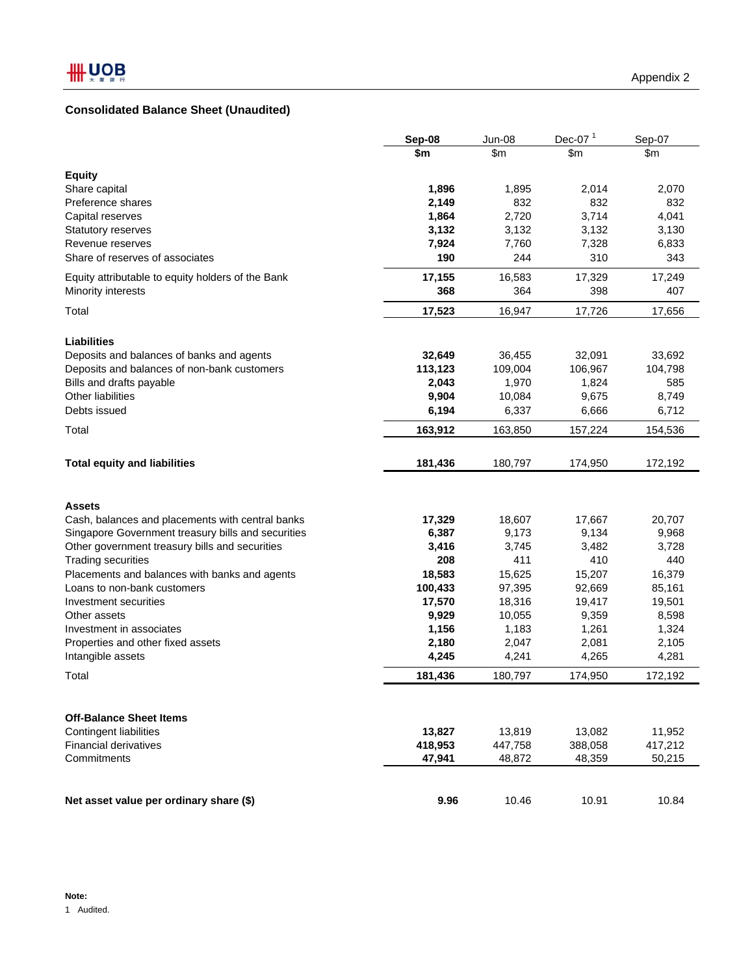# **Consolidated Balance Sheet (Unaudited)**

|                                                    | Sep-08         | <b>Jun-08</b>  | Dec-07 $1$     | Sep-07       |
|----------------------------------------------------|----------------|----------------|----------------|--------------|
|                                                    | \$m            | \$m            | \$m            | \$m          |
|                                                    |                |                |                |              |
| <b>Equity</b><br>Share capital                     | 1,896          | 1,895          | 2,014          | 2,070        |
| Preference shares                                  | 2,149          | 832            | 832            | 832          |
|                                                    | 1,864          | 2,720          | 3,714          | 4,041        |
| Capital reserves                                   |                |                |                |              |
| <b>Statutory reserves</b><br>Revenue reserves      | 3,132<br>7,924 | 3,132<br>7,760 | 3,132<br>7,328 | 3,130        |
| Share of reserves of associates                    | 190            | 244            | 310            | 6,833<br>343 |
|                                                    |                |                |                |              |
| Equity attributable to equity holders of the Bank  | 17,155         | 16,583         | 17,329         | 17,249       |
| Minority interests                                 | 368            | 364            | 398            | 407          |
| Total                                              | 17,523         | 16,947         | 17,726         | 17,656       |
| <b>Liabilities</b>                                 |                |                |                |              |
| Deposits and balances of banks and agents          | 32,649         | 36,455         | 32,091         | 33,692       |
| Deposits and balances of non-bank customers        | 113,123        | 109,004        | 106,967        | 104,798      |
| Bills and drafts payable                           | 2,043          | 1,970          | 1,824          | 585          |
| Other liabilities                                  | 9,904          | 10,084         | 9,675          | 8,749        |
| Debts issued                                       | 6,194          | 6,337          | 6,666          | 6,712        |
|                                                    |                |                |                |              |
| Total                                              | 163,912        | 163,850        | 157,224        | 154,536      |
| <b>Total equity and liabilities</b>                | 181,436        | 180,797        | 174,950        | 172,192      |
|                                                    |                |                |                |              |
| <b>Assets</b>                                      |                |                |                |              |
| Cash, balances and placements with central banks   | 17,329         | 18,607         | 17,667         | 20,707       |
| Singapore Government treasury bills and securities | 6,387          | 9,173          | 9,134          | 9,968        |
| Other government treasury bills and securities     | 3,416          | 3,745          | 3,482          | 3,728        |
| <b>Trading securities</b>                          | 208            | 411            | 410            | 440          |
| Placements and balances with banks and agents      | 18,583         | 15,625         | 15,207         | 16,379       |
| Loans to non-bank customers                        | 100,433        | 97,395         | 92,669         | 85,161       |
| Investment securities                              | 17,570         | 18,316         | 19,417         | 19,501       |
| Other assets                                       | 9,929          | 10,055         | 9,359          | 8,598        |
| Investment in associates                           | 1,156          | 1,183          | 1,261          | 1,324        |
| Properties and other fixed assets                  | 2,180          | 2,047          | 2,081          | 2,105        |
| Intangible assets                                  | 4,245          | 4,241          | 4,265          | 4,281        |
| Total                                              | 181,436        | 180,797        | 174,950        | 172,192      |
|                                                    |                |                |                |              |
| <b>Off-Balance Sheet Items</b>                     |                |                |                |              |
| Contingent liabilities                             | 13,827         | 13,819         | 13,082         | 11,952       |
| <b>Financial derivatives</b>                       | 418,953        | 447,758        | 388,058        | 417,212      |
| Commitments                                        | 47,941         | 48,872         | 48,359         | 50,215       |
|                                                    |                |                |                |              |
| Net asset value per ordinary share (\$)            | 9.96           | 10.46          | 10.91          | 10.84        |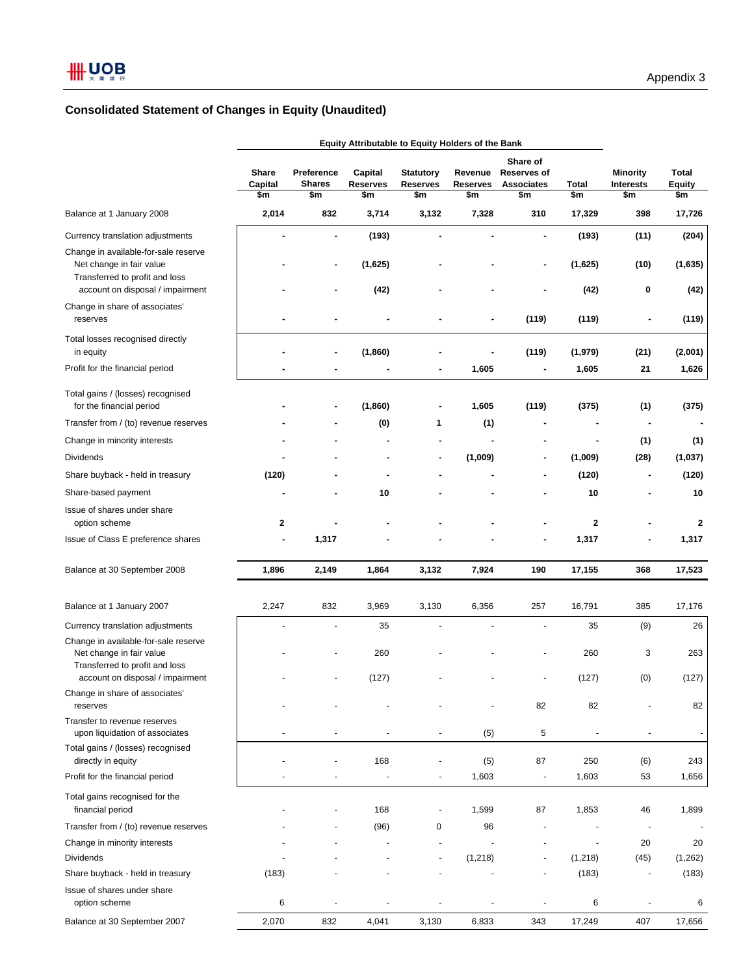# **Consolidated Statement of Changes in Equity (Unaudited)**

|                                                                                                    | <b>Equity Attributable to Equity Holders of the Bank</b> |                                    |                                   |                                            |                                   |                                                            |              |                                            |                               |
|----------------------------------------------------------------------------------------------------|----------------------------------------------------------|------------------------------------|-----------------------------------|--------------------------------------------|-----------------------------------|------------------------------------------------------------|--------------|--------------------------------------------|-------------------------------|
|                                                                                                    | Share<br>Capital<br>\$m                                  | Preference<br><b>Shares</b><br>\$m | Capital<br><b>Reserves</b><br>\$m | <b>Statutory</b><br><b>Reserves</b><br>\$m | Revenue<br><b>Reserves</b><br>\$m | Share of<br><b>Reserves of</b><br><b>Associates</b><br>\$m | Total<br>\$m | <b>Minority</b><br><b>Interests</b><br>\$m | Total<br><b>Equity</b><br>\$m |
| Balance at 1 January 2008                                                                          | 2,014                                                    | 832                                | 3,714                             | 3,132                                      | 7,328                             | 310                                                        | 17,329       | 398                                        | 17,726                        |
| Currency translation adjustments                                                                   |                                                          | $\overline{a}$                     | (193)                             | $\blacksquare$                             | $\blacksquare$                    | $\overline{a}$                                             | (193)        | (11)                                       | (204)                         |
| Change in available-for-sale reserve<br>Net change in fair value<br>Transferred to profit and loss |                                                          | ٠                                  | (1,625)                           |                                            |                                   | $\blacksquare$                                             | (1,625)      | (10)                                       | (1,635)                       |
| account on disposal / impairment<br>Change in share of associates'                                 |                                                          |                                    | (42)                              |                                            |                                   |                                                            | (42)         | 0                                          | (42)                          |
| reserves                                                                                           |                                                          |                                    |                                   |                                            |                                   | (119)                                                      | (119)        |                                            | (119)                         |
| Total losses recognised directly<br>in equity                                                      |                                                          |                                    | (1,860)                           |                                            |                                   | (119)                                                      | (1,979)      | (21)                                       | (2,001)                       |
| Profit for the financial period                                                                    |                                                          |                                    |                                   |                                            | 1,605                             | $\overline{a}$                                             | 1,605        | 21                                         | 1,626                         |
| Total gains / (losses) recognised<br>for the financial period                                      |                                                          |                                    | (1,860)                           |                                            | 1,605                             | (119)                                                      | (375)        | (1)                                        | (375)                         |
| Transfer from / (to) revenue reserves                                                              |                                                          |                                    | (0)                               | 1                                          | (1)                               |                                                            |              |                                            |                               |
| Change in minority interests                                                                       |                                                          |                                    |                                   |                                            |                                   |                                                            | ۰            | (1)                                        | (1)                           |
| <b>Dividends</b>                                                                                   |                                                          |                                    | ٠                                 | $\blacksquare$                             | (1,009)                           |                                                            | (1,009)      | (28)                                       | (1,037)                       |
| Share buyback - held in treasury                                                                   | (120)                                                    |                                    |                                   |                                            |                                   |                                                            | (120)        |                                            | (120)                         |
| Share-based payment                                                                                |                                                          |                                    | 10                                |                                            |                                   |                                                            | 10           |                                            | 10                            |
| Issue of shares under share<br>option scheme                                                       | 2                                                        |                                    |                                   |                                            |                                   |                                                            | $\mathbf{2}$ |                                            | $\overline{2}$                |
| Issue of Class E preference shares                                                                 |                                                          | 1,317                              |                                   |                                            |                                   |                                                            | 1,317        |                                            | 1,317                         |
| Balance at 30 September 2008                                                                       | 1,896                                                    | 2,149                              | 1,864                             | 3,132                                      | 7,924                             | 190                                                        | 17,155       | 368                                        | 17,523                        |
| Balance at 1 January 2007                                                                          | 2,247                                                    | 832                                | 3,969                             | 3,130                                      | 6,356                             | 257                                                        | 16,791       | 385                                        | 17,176                        |
| Currency translation adjustments                                                                   |                                                          |                                    | 35                                |                                            |                                   |                                                            | 35           | (9)                                        | 26                            |
| Change in available-for-sale reserve<br>Net change in fair value                                   |                                                          |                                    | 260                               |                                            |                                   |                                                            | 260          | 3                                          | 263                           |
| Transferred to profit and loss<br>account on disposal / impairment                                 |                                                          |                                    | (127)                             |                                            |                                   |                                                            | (127)        | (0)                                        | (127)                         |
| Change in share of associates'<br>reserves                                                         |                                                          |                                    |                                   |                                            |                                   | 82                                                         | 82           |                                            | 82                            |
| Transfer to revenue reserves<br>upon liquidation of associates                                     |                                                          |                                    |                                   |                                            | (5)                               | 5                                                          |              |                                            | $\overline{\phantom{a}}$      |
| Total gains / (losses) recognised<br>directly in equity                                            |                                                          |                                    | 168                               |                                            | (5)                               | 87                                                         | 250          | (6)                                        | 243                           |
| Profit for the financial period                                                                    |                                                          |                                    |                                   |                                            | 1,603                             | $\overline{\phantom{a}}$                                   | 1,603        | 53                                         | 1,656                         |
| Total gains recognised for the                                                                     |                                                          |                                    |                                   |                                            |                                   |                                                            |              |                                            |                               |
| financial period<br>Transfer from / (to) revenue reserves                                          |                                                          |                                    | 168<br>(96)                       | 0                                          | 1,599<br>96                       | 87                                                         | 1,853        | 46                                         | 1,899                         |
| Change in minority interests                                                                       |                                                          |                                    |                                   |                                            |                                   |                                                            |              | 20                                         | 20                            |
| Dividends                                                                                          |                                                          |                                    |                                   |                                            | (1, 218)                          | ٠                                                          | (1,218)      | (45)                                       | (1,262)                       |
| Share buyback - held in treasury                                                                   | (183)                                                    |                                    |                                   |                                            |                                   | $\overline{\phantom{a}}$                                   | (183)        | $\frac{1}{2}$                              | (183)                         |
| Issue of shares under share<br>option scheme                                                       | 6                                                        |                                    |                                   |                                            |                                   |                                                            | 6            |                                            | 6                             |
| Balance at 30 September 2007                                                                       | 2,070                                                    | 832                                | 4,041                             | 3,130                                      | 6,833                             | 343                                                        | 17,249       | 407                                        | 17,656                        |
|                                                                                                    |                                                          |                                    |                                   |                                            |                                   |                                                            |              |                                            |                               |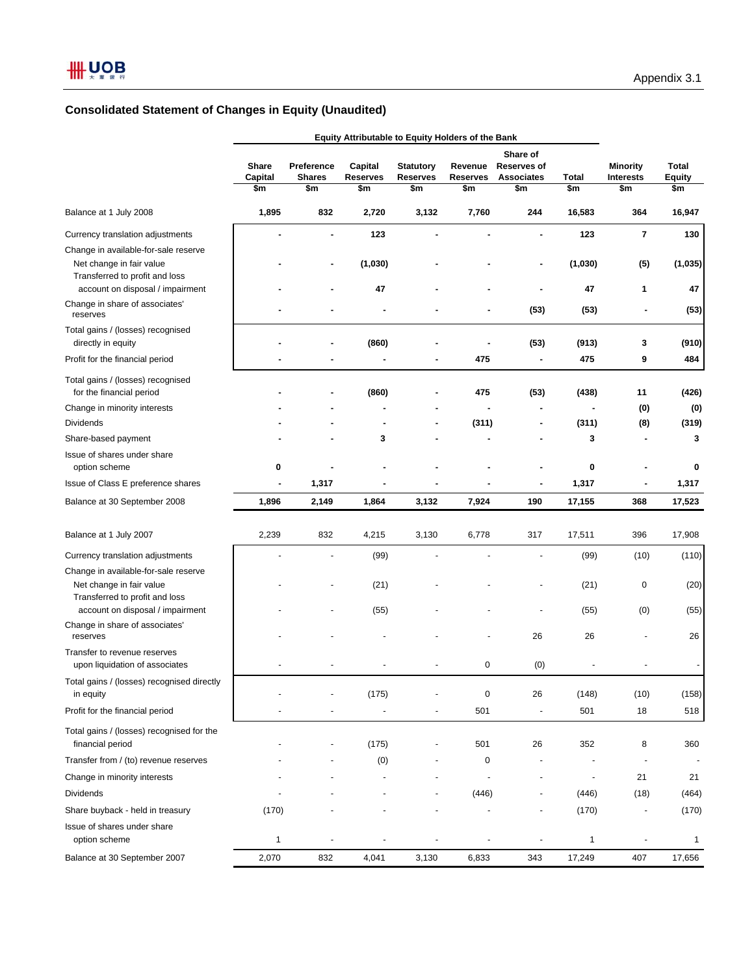|                                                                                                | Equity Attributable to Equity Holders of the Bank |                                    |                                   |                                            |                                   |                                                            |                     |                                     |                                      |
|------------------------------------------------------------------------------------------------|---------------------------------------------------|------------------------------------|-----------------------------------|--------------------------------------------|-----------------------------------|------------------------------------------------------------|---------------------|-------------------------------------|--------------------------------------|
|                                                                                                | Share<br>Capital<br>\$m                           | Preference<br><b>Shares</b><br>\$m | Capital<br><b>Reserves</b><br>\$m | <b>Statutory</b><br><b>Reserves</b><br>\$m | Revenue<br><b>Reserves</b><br>\$m | Share of<br><b>Reserves of</b><br><b>Associates</b><br>\$m | <b>Total</b><br>\$m | <b>Minority</b><br>Interests<br>\$m | <b>Total</b><br><b>Equity</b><br>\$m |
| Balance at 1 July 2008                                                                         | 1,895                                             | 832                                | 2,720                             | 3,132                                      | 7,760                             | 244                                                        | 16,583              | 364                                 | 16,947                               |
| Currency translation adjustments                                                               |                                                   |                                    | 123                               |                                            |                                   |                                                            | 123                 | $\overline{\phantom{a}}$            | 130                                  |
| Change in available-for-sale reserve                                                           |                                                   |                                    |                                   |                                            |                                   |                                                            |                     |                                     |                                      |
| Net change in fair value<br>Transferred to profit and loss<br>account on disposal / impairment |                                                   |                                    | (1,030)<br>47                     |                                            |                                   |                                                            | (1,030)<br>47       | (5)<br>1                            | (1,035)<br>47                        |
| Change in share of associates'<br>reserves                                                     |                                                   |                                    |                                   |                                            |                                   | (53)                                                       | (53)                |                                     | (53)                                 |
| Total gains / (losses) recognised<br>directly in equity                                        |                                                   |                                    | (860)                             |                                            |                                   | (53)                                                       | (913)               | 3                                   | (910)                                |
| Profit for the financial period                                                                |                                                   |                                    |                                   | ٠                                          | 475                               | $\overline{a}$                                             | 475                 | 9                                   | 484                                  |
| Total gains / (losses) recognised<br>for the financial period                                  |                                                   |                                    | (860)                             |                                            | 475                               | (53)                                                       | (438)               | 11                                  | (426)                                |
| Change in minority interests                                                                   |                                                   |                                    |                                   |                                            |                                   | $\blacksquare$                                             |                     | (0)                                 | (0)                                  |
| <b>Dividends</b>                                                                               |                                                   |                                    |                                   | ٠                                          | (311)                             | -                                                          | (311)               | (8)                                 | (319)                                |
| Share-based payment                                                                            |                                                   |                                    | 3                                 |                                            |                                   | ä,                                                         | 3                   | $\blacksquare$                      | 3                                    |
| Issue of shares under share<br>option scheme                                                   | 0                                                 |                                    |                                   |                                            |                                   |                                                            | 0                   |                                     | 0                                    |
| Issue of Class E preference shares                                                             | $\overline{\phantom{a}}$                          | 1,317                              |                                   |                                            |                                   | -                                                          | 1,317               | $\overline{\phantom{a}}$            | 1,317                                |
| Balance at 30 September 2008                                                                   | 1,896                                             | 2,149                              | 1,864                             | 3,132                                      | 7,924                             | 190                                                        | 17,155              | 368                                 | 17,523                               |
| Balance at 1 July 2007                                                                         | 2,239                                             | 832                                | 4,215                             | 3,130                                      | 6,778                             | 317                                                        | 17,511              | 396                                 | 17,908                               |
| Currency translation adjustments                                                               |                                                   | ÷,                                 | (99)                              |                                            |                                   |                                                            | (99)                | (10)                                | (110)                                |
| Change in available-for-sale reserve                                                           |                                                   |                                    |                                   |                                            |                                   |                                                            |                     |                                     |                                      |
| Net change in fair value<br>Transferred to profit and loss                                     |                                                   | ÷,                                 | (21)                              |                                            |                                   |                                                            | (21)                | $\pmb{0}$                           | (20)                                 |
| account on disposal / impairment                                                               |                                                   |                                    | (55)                              |                                            |                                   |                                                            | (55)                | (0)                                 | (55)                                 |
| Change in share of associates'<br>reserves                                                     |                                                   |                                    |                                   |                                            |                                   | 26                                                         | 26                  |                                     | 26                                   |
| Transfer to revenue reserves<br>upon liquidation of associates                                 |                                                   |                                    |                                   |                                            | 0                                 | (0)                                                        |                     |                                     |                                      |
| Total gains / (losses) recognised directly<br>in equity                                        |                                                   |                                    | (175)                             |                                            | $\pmb{0}$                         | 26                                                         | (148)               | (10)                                | (158)                                |
| Profit for the financial period                                                                |                                                   |                                    |                                   |                                            | 501                               |                                                            | 501                 | 18                                  | 518                                  |
| Total gains / (losses) recognised for the<br>financial period                                  |                                                   | $\blacksquare$                     | (175)                             |                                            | 501                               | 26                                                         | 352                 | 8                                   | 360                                  |
| Transfer from / (to) revenue reserves                                                          |                                                   |                                    | (0)                               |                                            | 0                                 |                                                            |                     | $\blacksquare$                      |                                      |
| Change in minority interests                                                                   |                                                   |                                    |                                   | $\blacksquare$                             |                                   | $\overline{\phantom{a}}$                                   | $\frac{1}{2}$       | 21                                  | 21                                   |
| <b>Dividends</b>                                                                               |                                                   |                                    |                                   |                                            | (446)                             | ÷,                                                         | (446)               | (18)                                | (464)                                |
| Share buyback - held in treasury                                                               | (170)                                             |                                    |                                   |                                            |                                   |                                                            | (170)               |                                     | (170)                                |
| Issue of shares under share<br>option scheme                                                   | $\mathbf{1}$                                      |                                    |                                   | ٠                                          |                                   |                                                            | 1                   | $\blacksquare$                      | 1                                    |
| Balance at 30 September 2007                                                                   | 2,070                                             | 832                                | 4,041                             | 3,130                                      | 6,833                             | 343                                                        | 17,249              | 407                                 | 17,656                               |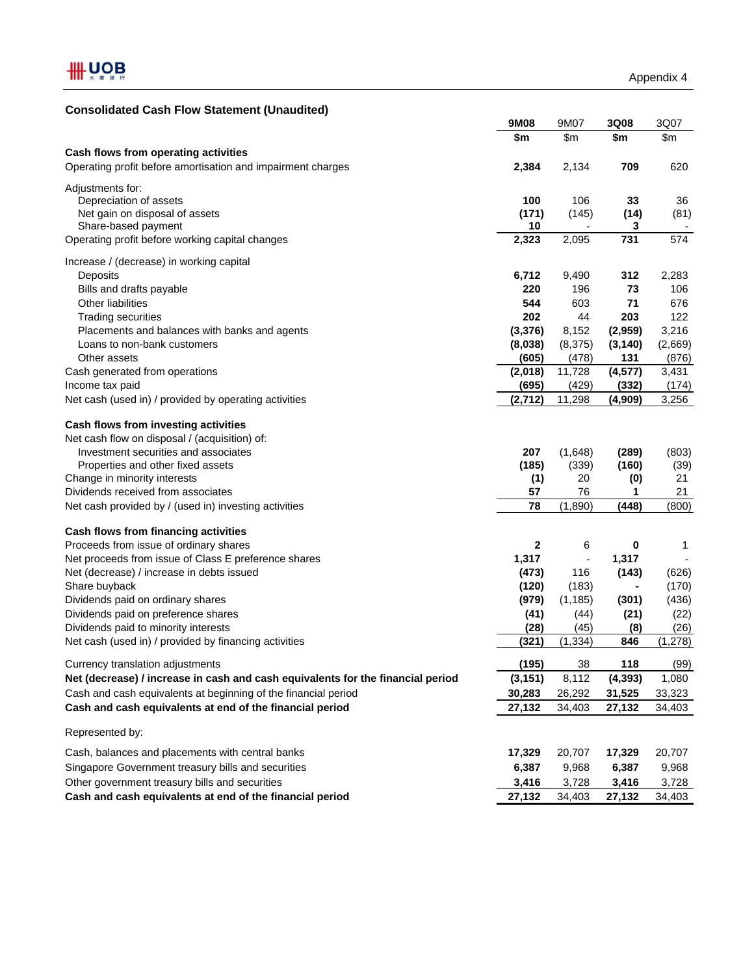# **Consolidated Cash Flow Statement (Unaudited)**

| \$m<br>$\mathsf{Sm}$<br>\$m<br>\$m<br>Cash flows from operating activities<br>Operating profit before amortisation and impairment charges<br>2,384<br>2,134<br>709<br>620<br>Adjustments for:<br>Depreciation of assets<br>100<br>106<br>33<br>36<br>Net gain on disposal of assets<br>(171)<br>(145)<br>(14)<br>(81)<br>10<br>Share-based payment<br>3<br>2,323<br>731<br>Operating profit before working capital changes<br>2,095<br>574<br>Increase / (decrease) in working capital<br>Deposits<br>6,712<br>9,490<br>312<br>2,283<br>Bills and drafts payable<br>220<br>196<br>73<br>106<br>544<br>Other liabilities<br>603<br>71<br>676<br>202<br>44<br>203<br><b>Trading securities</b><br>122<br>(3, 376)<br>3,216<br>Placements and balances with banks and agents<br>8,152<br>(2,959)<br>Loans to non-bank customers<br>(8,038)<br>(8,375)<br>(3, 140)<br>(2,669)<br>(605)<br>131<br>(876)<br>Other assets<br>(478)<br>11,728<br>(4, 577)<br>Cash generated from operations<br>(2,018)<br>3,431<br>Income tax paid<br>(695)<br>(429)<br>(332)<br>(174)<br>(2,712)<br>11,298<br>Net cash (used in) / provided by operating activities<br>(4,909)<br>3,256<br>Cash flows from investing activities<br>Net cash flow on disposal / (acquisition) of:<br>Investment securities and associates<br>207<br>(1,648)<br>(289)<br>(803)<br>Properties and other fixed assets<br>(185)<br>(339)<br>(160)<br>(39)<br>Change in minority interests<br>20<br>(0)<br>21<br>(1)<br>Dividends received from associates<br>57<br>76<br>21<br>1<br>78<br>(1,890)<br>(448)<br>(800)<br>Net cash provided by / (used in) investing activities<br>Cash flows from financing activities<br>Proceeds from issue of ordinary shares<br>2<br>6<br>0<br>1<br>Net proceeds from issue of Class E preference shares<br>1,317<br>1,317<br>116<br>Net (decrease) / increase in debts issued<br>(473)<br>(143)<br>(626)<br>Share buyback<br>(120)<br>(183)<br>(170)<br>Dividends paid on ordinary shares<br>(979)<br>(1, 185)<br>(436)<br>(301)<br>Dividends paid on preference shares<br>(41)<br>(44)<br>(21)<br>(22)<br>Dividends paid to minority interests<br>(28)<br>(45)<br>(26)<br>(8)<br>Net cash (used in) / provided by financing activities<br>(321)<br>(1, 334)<br>846<br>(1, 278)<br>(195)<br>(99)<br>38<br>118<br>Currency translation adjustments<br>Net (decrease) / increase in cash and cash equivalents for the financial period<br>(3, 151)<br>8,112<br>(4, 393)<br>1,080<br>Cash and cash equivalents at beginning of the financial period<br>30,283<br>26,292<br>31,525<br>33,323<br>Cash and cash equivalents at end of the financial period<br>27,132<br>34,403<br>34,403<br>27,132<br>Represented by:<br>20,707<br>Cash, balances and placements with central banks<br>17,329<br>20,707<br>17,329<br>Singapore Government treasury bills and securities<br>6,387<br>9,968<br>6,387<br>9,968<br>Other government treasury bills and securities<br>3,416<br>3,728<br>3,416<br>3,728<br>Cash and cash equivalents at end of the financial period<br>27,132<br>27,132<br>34,403<br>34,403 | 9M08 | 9M07 | 3Q08 | 3Q07 |
|----------------------------------------------------------------------------------------------------------------------------------------------------------------------------------------------------------------------------------------------------------------------------------------------------------------------------------------------------------------------------------------------------------------------------------------------------------------------------------------------------------------------------------------------------------------------------------------------------------------------------------------------------------------------------------------------------------------------------------------------------------------------------------------------------------------------------------------------------------------------------------------------------------------------------------------------------------------------------------------------------------------------------------------------------------------------------------------------------------------------------------------------------------------------------------------------------------------------------------------------------------------------------------------------------------------------------------------------------------------------------------------------------------------------------------------------------------------------------------------------------------------------------------------------------------------------------------------------------------------------------------------------------------------------------------------------------------------------------------------------------------------------------------------------------------------------------------------------------------------------------------------------------------------------------------------------------------------------------------------------------------------------------------------------------------------------------------------------------------------------------------------------------------------------------------------------------------------------------------------------------------------------------------------------------------------------------------------------------------------------------------------------------------------------------------------------------------------------------------------------------------------------------------------------------------------------------------------------------------------------------------------------------------------------------------------------------------------------------------------------------------------------------------------------------------------------------------------------------------------------------------------------------------------------------------------------------------------------------------------------------------------------------------------------------------------------------------------|------|------|------|------|
|                                                                                                                                                                                                                                                                                                                                                                                                                                                                                                                                                                                                                                                                                                                                                                                                                                                                                                                                                                                                                                                                                                                                                                                                                                                                                                                                                                                                                                                                                                                                                                                                                                                                                                                                                                                                                                                                                                                                                                                                                                                                                                                                                                                                                                                                                                                                                                                                                                                                                                                                                                                                                                                                                                                                                                                                                                                                                                                                                                                                                                                                                        |      |      |      |      |
|                                                                                                                                                                                                                                                                                                                                                                                                                                                                                                                                                                                                                                                                                                                                                                                                                                                                                                                                                                                                                                                                                                                                                                                                                                                                                                                                                                                                                                                                                                                                                                                                                                                                                                                                                                                                                                                                                                                                                                                                                                                                                                                                                                                                                                                                                                                                                                                                                                                                                                                                                                                                                                                                                                                                                                                                                                                                                                                                                                                                                                                                                        |      |      |      |      |
|                                                                                                                                                                                                                                                                                                                                                                                                                                                                                                                                                                                                                                                                                                                                                                                                                                                                                                                                                                                                                                                                                                                                                                                                                                                                                                                                                                                                                                                                                                                                                                                                                                                                                                                                                                                                                                                                                                                                                                                                                                                                                                                                                                                                                                                                                                                                                                                                                                                                                                                                                                                                                                                                                                                                                                                                                                                                                                                                                                                                                                                                                        |      |      |      |      |
|                                                                                                                                                                                                                                                                                                                                                                                                                                                                                                                                                                                                                                                                                                                                                                                                                                                                                                                                                                                                                                                                                                                                                                                                                                                                                                                                                                                                                                                                                                                                                                                                                                                                                                                                                                                                                                                                                                                                                                                                                                                                                                                                                                                                                                                                                                                                                                                                                                                                                                                                                                                                                                                                                                                                                                                                                                                                                                                                                                                                                                                                                        |      |      |      |      |
|                                                                                                                                                                                                                                                                                                                                                                                                                                                                                                                                                                                                                                                                                                                                                                                                                                                                                                                                                                                                                                                                                                                                                                                                                                                                                                                                                                                                                                                                                                                                                                                                                                                                                                                                                                                                                                                                                                                                                                                                                                                                                                                                                                                                                                                                                                                                                                                                                                                                                                                                                                                                                                                                                                                                                                                                                                                                                                                                                                                                                                                                                        |      |      |      |      |
|                                                                                                                                                                                                                                                                                                                                                                                                                                                                                                                                                                                                                                                                                                                                                                                                                                                                                                                                                                                                                                                                                                                                                                                                                                                                                                                                                                                                                                                                                                                                                                                                                                                                                                                                                                                                                                                                                                                                                                                                                                                                                                                                                                                                                                                                                                                                                                                                                                                                                                                                                                                                                                                                                                                                                                                                                                                                                                                                                                                                                                                                                        |      |      |      |      |
|                                                                                                                                                                                                                                                                                                                                                                                                                                                                                                                                                                                                                                                                                                                                                                                                                                                                                                                                                                                                                                                                                                                                                                                                                                                                                                                                                                                                                                                                                                                                                                                                                                                                                                                                                                                                                                                                                                                                                                                                                                                                                                                                                                                                                                                                                                                                                                                                                                                                                                                                                                                                                                                                                                                                                                                                                                                                                                                                                                                                                                                                                        |      |      |      |      |
|                                                                                                                                                                                                                                                                                                                                                                                                                                                                                                                                                                                                                                                                                                                                                                                                                                                                                                                                                                                                                                                                                                                                                                                                                                                                                                                                                                                                                                                                                                                                                                                                                                                                                                                                                                                                                                                                                                                                                                                                                                                                                                                                                                                                                                                                                                                                                                                                                                                                                                                                                                                                                                                                                                                                                                                                                                                                                                                                                                                                                                                                                        |      |      |      |      |
|                                                                                                                                                                                                                                                                                                                                                                                                                                                                                                                                                                                                                                                                                                                                                                                                                                                                                                                                                                                                                                                                                                                                                                                                                                                                                                                                                                                                                                                                                                                                                                                                                                                                                                                                                                                                                                                                                                                                                                                                                                                                                                                                                                                                                                                                                                                                                                                                                                                                                                                                                                                                                                                                                                                                                                                                                                                                                                                                                                                                                                                                                        |      |      |      |      |
|                                                                                                                                                                                                                                                                                                                                                                                                                                                                                                                                                                                                                                                                                                                                                                                                                                                                                                                                                                                                                                                                                                                                                                                                                                                                                                                                                                                                                                                                                                                                                                                                                                                                                                                                                                                                                                                                                                                                                                                                                                                                                                                                                                                                                                                                                                                                                                                                                                                                                                                                                                                                                                                                                                                                                                                                                                                                                                                                                                                                                                                                                        |      |      |      |      |
|                                                                                                                                                                                                                                                                                                                                                                                                                                                                                                                                                                                                                                                                                                                                                                                                                                                                                                                                                                                                                                                                                                                                                                                                                                                                                                                                                                                                                                                                                                                                                                                                                                                                                                                                                                                                                                                                                                                                                                                                                                                                                                                                                                                                                                                                                                                                                                                                                                                                                                                                                                                                                                                                                                                                                                                                                                                                                                                                                                                                                                                                                        |      |      |      |      |
|                                                                                                                                                                                                                                                                                                                                                                                                                                                                                                                                                                                                                                                                                                                                                                                                                                                                                                                                                                                                                                                                                                                                                                                                                                                                                                                                                                                                                                                                                                                                                                                                                                                                                                                                                                                                                                                                                                                                                                                                                                                                                                                                                                                                                                                                                                                                                                                                                                                                                                                                                                                                                                                                                                                                                                                                                                                                                                                                                                                                                                                                                        |      |      |      |      |
|                                                                                                                                                                                                                                                                                                                                                                                                                                                                                                                                                                                                                                                                                                                                                                                                                                                                                                                                                                                                                                                                                                                                                                                                                                                                                                                                                                                                                                                                                                                                                                                                                                                                                                                                                                                                                                                                                                                                                                                                                                                                                                                                                                                                                                                                                                                                                                                                                                                                                                                                                                                                                                                                                                                                                                                                                                                                                                                                                                                                                                                                                        |      |      |      |      |
|                                                                                                                                                                                                                                                                                                                                                                                                                                                                                                                                                                                                                                                                                                                                                                                                                                                                                                                                                                                                                                                                                                                                                                                                                                                                                                                                                                                                                                                                                                                                                                                                                                                                                                                                                                                                                                                                                                                                                                                                                                                                                                                                                                                                                                                                                                                                                                                                                                                                                                                                                                                                                                                                                                                                                                                                                                                                                                                                                                                                                                                                                        |      |      |      |      |
|                                                                                                                                                                                                                                                                                                                                                                                                                                                                                                                                                                                                                                                                                                                                                                                                                                                                                                                                                                                                                                                                                                                                                                                                                                                                                                                                                                                                                                                                                                                                                                                                                                                                                                                                                                                                                                                                                                                                                                                                                                                                                                                                                                                                                                                                                                                                                                                                                                                                                                                                                                                                                                                                                                                                                                                                                                                                                                                                                                                                                                                                                        |      |      |      |      |
|                                                                                                                                                                                                                                                                                                                                                                                                                                                                                                                                                                                                                                                                                                                                                                                                                                                                                                                                                                                                                                                                                                                                                                                                                                                                                                                                                                                                                                                                                                                                                                                                                                                                                                                                                                                                                                                                                                                                                                                                                                                                                                                                                                                                                                                                                                                                                                                                                                                                                                                                                                                                                                                                                                                                                                                                                                                                                                                                                                                                                                                                                        |      |      |      |      |
|                                                                                                                                                                                                                                                                                                                                                                                                                                                                                                                                                                                                                                                                                                                                                                                                                                                                                                                                                                                                                                                                                                                                                                                                                                                                                                                                                                                                                                                                                                                                                                                                                                                                                                                                                                                                                                                                                                                                                                                                                                                                                                                                                                                                                                                                                                                                                                                                                                                                                                                                                                                                                                                                                                                                                                                                                                                                                                                                                                                                                                                                                        |      |      |      |      |
|                                                                                                                                                                                                                                                                                                                                                                                                                                                                                                                                                                                                                                                                                                                                                                                                                                                                                                                                                                                                                                                                                                                                                                                                                                                                                                                                                                                                                                                                                                                                                                                                                                                                                                                                                                                                                                                                                                                                                                                                                                                                                                                                                                                                                                                                                                                                                                                                                                                                                                                                                                                                                                                                                                                                                                                                                                                                                                                                                                                                                                                                                        |      |      |      |      |
|                                                                                                                                                                                                                                                                                                                                                                                                                                                                                                                                                                                                                                                                                                                                                                                                                                                                                                                                                                                                                                                                                                                                                                                                                                                                                                                                                                                                                                                                                                                                                                                                                                                                                                                                                                                                                                                                                                                                                                                                                                                                                                                                                                                                                                                                                                                                                                                                                                                                                                                                                                                                                                                                                                                                                                                                                                                                                                                                                                                                                                                                                        |      |      |      |      |
|                                                                                                                                                                                                                                                                                                                                                                                                                                                                                                                                                                                                                                                                                                                                                                                                                                                                                                                                                                                                                                                                                                                                                                                                                                                                                                                                                                                                                                                                                                                                                                                                                                                                                                                                                                                                                                                                                                                                                                                                                                                                                                                                                                                                                                                                                                                                                                                                                                                                                                                                                                                                                                                                                                                                                                                                                                                                                                                                                                                                                                                                                        |      |      |      |      |
|                                                                                                                                                                                                                                                                                                                                                                                                                                                                                                                                                                                                                                                                                                                                                                                                                                                                                                                                                                                                                                                                                                                                                                                                                                                                                                                                                                                                                                                                                                                                                                                                                                                                                                                                                                                                                                                                                                                                                                                                                                                                                                                                                                                                                                                                                                                                                                                                                                                                                                                                                                                                                                                                                                                                                                                                                                                                                                                                                                                                                                                                                        |      |      |      |      |
|                                                                                                                                                                                                                                                                                                                                                                                                                                                                                                                                                                                                                                                                                                                                                                                                                                                                                                                                                                                                                                                                                                                                                                                                                                                                                                                                                                                                                                                                                                                                                                                                                                                                                                                                                                                                                                                                                                                                                                                                                                                                                                                                                                                                                                                                                                                                                                                                                                                                                                                                                                                                                                                                                                                                                                                                                                                                                                                                                                                                                                                                                        |      |      |      |      |
|                                                                                                                                                                                                                                                                                                                                                                                                                                                                                                                                                                                                                                                                                                                                                                                                                                                                                                                                                                                                                                                                                                                                                                                                                                                                                                                                                                                                                                                                                                                                                                                                                                                                                                                                                                                                                                                                                                                                                                                                                                                                                                                                                                                                                                                                                                                                                                                                                                                                                                                                                                                                                                                                                                                                                                                                                                                                                                                                                                                                                                                                                        |      |      |      |      |
|                                                                                                                                                                                                                                                                                                                                                                                                                                                                                                                                                                                                                                                                                                                                                                                                                                                                                                                                                                                                                                                                                                                                                                                                                                                                                                                                                                                                                                                                                                                                                                                                                                                                                                                                                                                                                                                                                                                                                                                                                                                                                                                                                                                                                                                                                                                                                                                                                                                                                                                                                                                                                                                                                                                                                                                                                                                                                                                                                                                                                                                                                        |      |      |      |      |
|                                                                                                                                                                                                                                                                                                                                                                                                                                                                                                                                                                                                                                                                                                                                                                                                                                                                                                                                                                                                                                                                                                                                                                                                                                                                                                                                                                                                                                                                                                                                                                                                                                                                                                                                                                                                                                                                                                                                                                                                                                                                                                                                                                                                                                                                                                                                                                                                                                                                                                                                                                                                                                                                                                                                                                                                                                                                                                                                                                                                                                                                                        |      |      |      |      |
|                                                                                                                                                                                                                                                                                                                                                                                                                                                                                                                                                                                                                                                                                                                                                                                                                                                                                                                                                                                                                                                                                                                                                                                                                                                                                                                                                                                                                                                                                                                                                                                                                                                                                                                                                                                                                                                                                                                                                                                                                                                                                                                                                                                                                                                                                                                                                                                                                                                                                                                                                                                                                                                                                                                                                                                                                                                                                                                                                                                                                                                                                        |      |      |      |      |
|                                                                                                                                                                                                                                                                                                                                                                                                                                                                                                                                                                                                                                                                                                                                                                                                                                                                                                                                                                                                                                                                                                                                                                                                                                                                                                                                                                                                                                                                                                                                                                                                                                                                                                                                                                                                                                                                                                                                                                                                                                                                                                                                                                                                                                                                                                                                                                                                                                                                                                                                                                                                                                                                                                                                                                                                                                                                                                                                                                                                                                                                                        |      |      |      |      |
|                                                                                                                                                                                                                                                                                                                                                                                                                                                                                                                                                                                                                                                                                                                                                                                                                                                                                                                                                                                                                                                                                                                                                                                                                                                                                                                                                                                                                                                                                                                                                                                                                                                                                                                                                                                                                                                                                                                                                                                                                                                                                                                                                                                                                                                                                                                                                                                                                                                                                                                                                                                                                                                                                                                                                                                                                                                                                                                                                                                                                                                                                        |      |      |      |      |
|                                                                                                                                                                                                                                                                                                                                                                                                                                                                                                                                                                                                                                                                                                                                                                                                                                                                                                                                                                                                                                                                                                                                                                                                                                                                                                                                                                                                                                                                                                                                                                                                                                                                                                                                                                                                                                                                                                                                                                                                                                                                                                                                                                                                                                                                                                                                                                                                                                                                                                                                                                                                                                                                                                                                                                                                                                                                                                                                                                                                                                                                                        |      |      |      |      |
|                                                                                                                                                                                                                                                                                                                                                                                                                                                                                                                                                                                                                                                                                                                                                                                                                                                                                                                                                                                                                                                                                                                                                                                                                                                                                                                                                                                                                                                                                                                                                                                                                                                                                                                                                                                                                                                                                                                                                                                                                                                                                                                                                                                                                                                                                                                                                                                                                                                                                                                                                                                                                                                                                                                                                                                                                                                                                                                                                                                                                                                                                        |      |      |      |      |
|                                                                                                                                                                                                                                                                                                                                                                                                                                                                                                                                                                                                                                                                                                                                                                                                                                                                                                                                                                                                                                                                                                                                                                                                                                                                                                                                                                                                                                                                                                                                                                                                                                                                                                                                                                                                                                                                                                                                                                                                                                                                                                                                                                                                                                                                                                                                                                                                                                                                                                                                                                                                                                                                                                                                                                                                                                                                                                                                                                                                                                                                                        |      |      |      |      |
|                                                                                                                                                                                                                                                                                                                                                                                                                                                                                                                                                                                                                                                                                                                                                                                                                                                                                                                                                                                                                                                                                                                                                                                                                                                                                                                                                                                                                                                                                                                                                                                                                                                                                                                                                                                                                                                                                                                                                                                                                                                                                                                                                                                                                                                                                                                                                                                                                                                                                                                                                                                                                                                                                                                                                                                                                                                                                                                                                                                                                                                                                        |      |      |      |      |
|                                                                                                                                                                                                                                                                                                                                                                                                                                                                                                                                                                                                                                                                                                                                                                                                                                                                                                                                                                                                                                                                                                                                                                                                                                                                                                                                                                                                                                                                                                                                                                                                                                                                                                                                                                                                                                                                                                                                                                                                                                                                                                                                                                                                                                                                                                                                                                                                                                                                                                                                                                                                                                                                                                                                                                                                                                                                                                                                                                                                                                                                                        |      |      |      |      |
|                                                                                                                                                                                                                                                                                                                                                                                                                                                                                                                                                                                                                                                                                                                                                                                                                                                                                                                                                                                                                                                                                                                                                                                                                                                                                                                                                                                                                                                                                                                                                                                                                                                                                                                                                                                                                                                                                                                                                                                                                                                                                                                                                                                                                                                                                                                                                                                                                                                                                                                                                                                                                                                                                                                                                                                                                                                                                                                                                                                                                                                                                        |      |      |      |      |
|                                                                                                                                                                                                                                                                                                                                                                                                                                                                                                                                                                                                                                                                                                                                                                                                                                                                                                                                                                                                                                                                                                                                                                                                                                                                                                                                                                                                                                                                                                                                                                                                                                                                                                                                                                                                                                                                                                                                                                                                                                                                                                                                                                                                                                                                                                                                                                                                                                                                                                                                                                                                                                                                                                                                                                                                                                                                                                                                                                                                                                                                                        |      |      |      |      |
|                                                                                                                                                                                                                                                                                                                                                                                                                                                                                                                                                                                                                                                                                                                                                                                                                                                                                                                                                                                                                                                                                                                                                                                                                                                                                                                                                                                                                                                                                                                                                                                                                                                                                                                                                                                                                                                                                                                                                                                                                                                                                                                                                                                                                                                                                                                                                                                                                                                                                                                                                                                                                                                                                                                                                                                                                                                                                                                                                                                                                                                                                        |      |      |      |      |
|                                                                                                                                                                                                                                                                                                                                                                                                                                                                                                                                                                                                                                                                                                                                                                                                                                                                                                                                                                                                                                                                                                                                                                                                                                                                                                                                                                                                                                                                                                                                                                                                                                                                                                                                                                                                                                                                                                                                                                                                                                                                                                                                                                                                                                                                                                                                                                                                                                                                                                                                                                                                                                                                                                                                                                                                                                                                                                                                                                                                                                                                                        |      |      |      |      |
|                                                                                                                                                                                                                                                                                                                                                                                                                                                                                                                                                                                                                                                                                                                                                                                                                                                                                                                                                                                                                                                                                                                                                                                                                                                                                                                                                                                                                                                                                                                                                                                                                                                                                                                                                                                                                                                                                                                                                                                                                                                                                                                                                                                                                                                                                                                                                                                                                                                                                                                                                                                                                                                                                                                                                                                                                                                                                                                                                                                                                                                                                        |      |      |      |      |
|                                                                                                                                                                                                                                                                                                                                                                                                                                                                                                                                                                                                                                                                                                                                                                                                                                                                                                                                                                                                                                                                                                                                                                                                                                                                                                                                                                                                                                                                                                                                                                                                                                                                                                                                                                                                                                                                                                                                                                                                                                                                                                                                                                                                                                                                                                                                                                                                                                                                                                                                                                                                                                                                                                                                                                                                                                                                                                                                                                                                                                                                                        |      |      |      |      |
|                                                                                                                                                                                                                                                                                                                                                                                                                                                                                                                                                                                                                                                                                                                                                                                                                                                                                                                                                                                                                                                                                                                                                                                                                                                                                                                                                                                                                                                                                                                                                                                                                                                                                                                                                                                                                                                                                                                                                                                                                                                                                                                                                                                                                                                                                                                                                                                                                                                                                                                                                                                                                                                                                                                                                                                                                                                                                                                                                                                                                                                                                        |      |      |      |      |
|                                                                                                                                                                                                                                                                                                                                                                                                                                                                                                                                                                                                                                                                                                                                                                                                                                                                                                                                                                                                                                                                                                                                                                                                                                                                                                                                                                                                                                                                                                                                                                                                                                                                                                                                                                                                                                                                                                                                                                                                                                                                                                                                                                                                                                                                                                                                                                                                                                                                                                                                                                                                                                                                                                                                                                                                                                                                                                                                                                                                                                                                                        |      |      |      |      |
|                                                                                                                                                                                                                                                                                                                                                                                                                                                                                                                                                                                                                                                                                                                                                                                                                                                                                                                                                                                                                                                                                                                                                                                                                                                                                                                                                                                                                                                                                                                                                                                                                                                                                                                                                                                                                                                                                                                                                                                                                                                                                                                                                                                                                                                                                                                                                                                                                                                                                                                                                                                                                                                                                                                                                                                                                                                                                                                                                                                                                                                                                        |      |      |      |      |
|                                                                                                                                                                                                                                                                                                                                                                                                                                                                                                                                                                                                                                                                                                                                                                                                                                                                                                                                                                                                                                                                                                                                                                                                                                                                                                                                                                                                                                                                                                                                                                                                                                                                                                                                                                                                                                                                                                                                                                                                                                                                                                                                                                                                                                                                                                                                                                                                                                                                                                                                                                                                                                                                                                                                                                                                                                                                                                                                                                                                                                                                                        |      |      |      |      |
|                                                                                                                                                                                                                                                                                                                                                                                                                                                                                                                                                                                                                                                                                                                                                                                                                                                                                                                                                                                                                                                                                                                                                                                                                                                                                                                                                                                                                                                                                                                                                                                                                                                                                                                                                                                                                                                                                                                                                                                                                                                                                                                                                                                                                                                                                                                                                                                                                                                                                                                                                                                                                                                                                                                                                                                                                                                                                                                                                                                                                                                                                        |      |      |      |      |
|                                                                                                                                                                                                                                                                                                                                                                                                                                                                                                                                                                                                                                                                                                                                                                                                                                                                                                                                                                                                                                                                                                                                                                                                                                                                                                                                                                                                                                                                                                                                                                                                                                                                                                                                                                                                                                                                                                                                                                                                                                                                                                                                                                                                                                                                                                                                                                                                                                                                                                                                                                                                                                                                                                                                                                                                                                                                                                                                                                                                                                                                                        |      |      |      |      |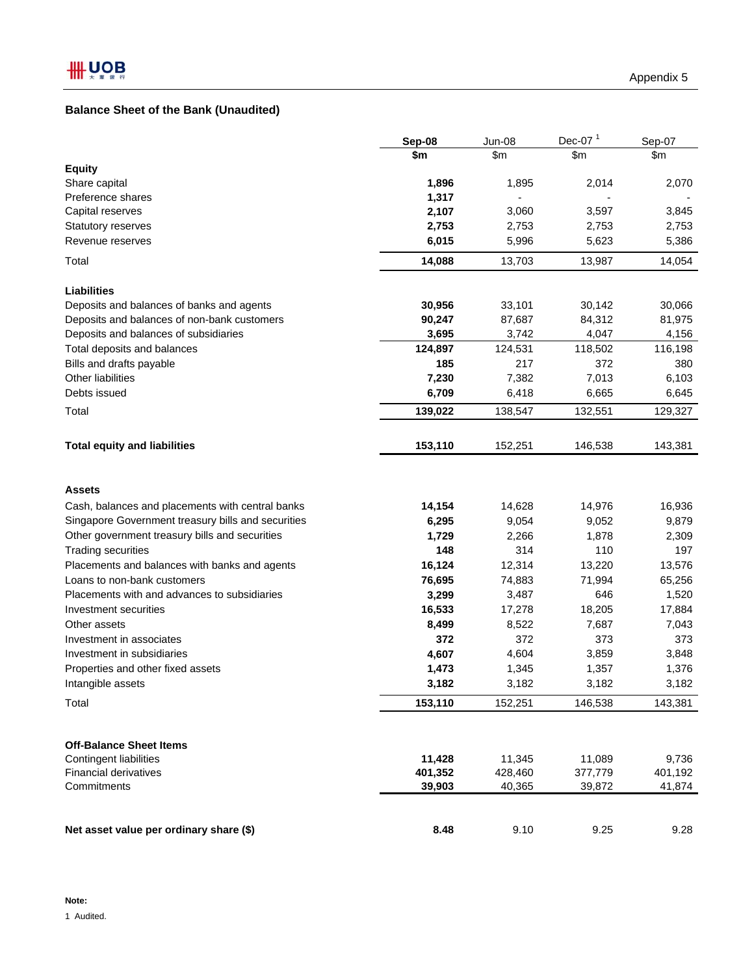# **Balance Sheet of the Bank (Unaudited)**

|                                                    | Sep-08  | Jun-08  | Dec-07 $1$ | Sep-07  |
|----------------------------------------------------|---------|---------|------------|---------|
|                                                    | \$m     | \$m     | \$m\$      | \$m\$   |
| <b>Equity</b>                                      |         |         |            |         |
| Share capital                                      | 1,896   | 1,895   | 2,014      | 2,070   |
| Preference shares                                  | 1,317   |         |            |         |
| Capital reserves                                   | 2,107   | 3,060   | 3,597      | 3,845   |
| <b>Statutory reserves</b>                          | 2,753   | 2,753   | 2,753      | 2,753   |
| Revenue reserves                                   | 6,015   | 5,996   | 5,623      | 5,386   |
| Total                                              | 14,088  | 13,703  | 13,987     | 14,054  |
| <b>Liabilities</b>                                 |         |         |            |         |
| Deposits and balances of banks and agents          | 30,956  | 33,101  | 30,142     | 30,066  |
| Deposits and balances of non-bank customers        | 90,247  | 87,687  | 84,312     | 81,975  |
| Deposits and balances of subsidiaries              | 3,695   | 3,742   | 4,047      | 4,156   |
| Total deposits and balances                        | 124,897 | 124,531 | 118,502    | 116,198 |
| Bills and drafts payable                           | 185     | 217     | 372        | 380     |
| Other liabilities                                  | 7,230   | 7,382   | 7,013      | 6,103   |
| Debts issued                                       | 6,709   | 6,418   | 6,665      | 6,645   |
| Total                                              | 139,022 | 138,547 | 132,551    | 129,327 |
| <b>Total equity and liabilities</b>                | 153,110 | 152,251 | 146,538    | 143,381 |
| <b>Assets</b>                                      |         |         |            |         |
| Cash, balances and placements with central banks   | 14,154  | 14,628  | 14,976     | 16,936  |
| Singapore Government treasury bills and securities | 6,295   | 9,054   | 9,052      | 9,879   |
| Other government treasury bills and securities     | 1,729   | 2,266   | 1,878      | 2,309   |
| <b>Trading securities</b>                          | 148     | 314     | 110        | 197     |
| Placements and balances with banks and agents      | 16,124  | 12,314  | 13,220     | 13,576  |
| Loans to non-bank customers                        | 76,695  | 74,883  | 71,994     | 65,256  |
| Placements with and advances to subsidiaries       | 3,299   | 3,487   | 646        | 1,520   |
| Investment securities                              | 16,533  | 17,278  | 18,205     | 17,884  |
| Other assets                                       | 8,499   | 8,522   | 7,687      | 7,043   |
| Investment in associates                           | 372     | 372     | 373        | 373     |
| Investment in subsidiaries                         | 4,607   | 4,604   | 3,859      | 3,848   |
| Properties and other fixed assets                  | 1,473   | 1,345   | 1,357      | 1,376   |
| Intangible assets                                  | 3,182   | 3,182   | 3,182      | 3,182   |
| Total                                              | 153,110 | 152,251 | 146,538    | 143,381 |
| <b>Off-Balance Sheet Items</b>                     |         |         |            |         |
| <b>Contingent liabilities</b>                      | 11,428  | 11,345  | 11,089     | 9,736   |
| Financial derivatives                              | 401,352 | 428,460 | 377,779    | 401,192 |
| Commitments                                        | 39,903  | 40,365  | 39,872     | 41,874  |
| Net asset value per ordinary share (\$)            | 8.48    | 9.10    | 9.25       | 9.28    |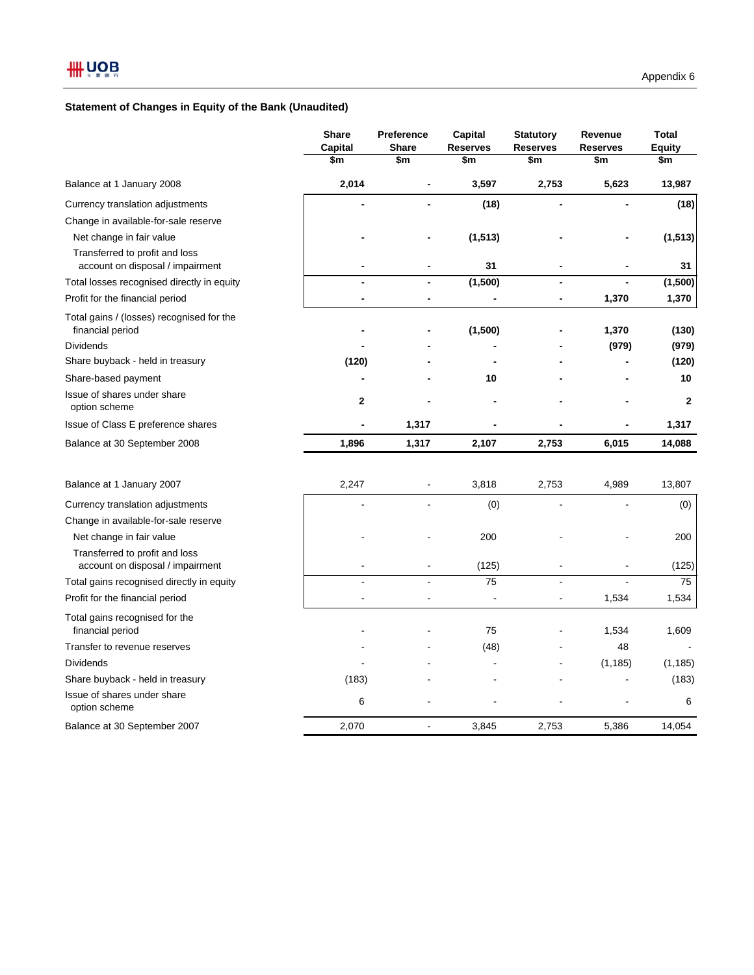## **Statement of Changes in Equity of the Bank (Unaudited)**

|                                                                    | <b>Share</b><br>Capital | <b>Preference</b><br><b>Share</b> | Capital<br><b>Reserves</b> | <b>Statutory</b><br><b>Reserves</b> | Revenue<br><b>Reserves</b> | <b>Total</b><br><b>Equity</b> |
|--------------------------------------------------------------------|-------------------------|-----------------------------------|----------------------------|-------------------------------------|----------------------------|-------------------------------|
|                                                                    | \$m                     | \$m                               | \$m                        | \$m                                 | \$m                        | \$m                           |
| Balance at 1 January 2008                                          | 2,014                   |                                   | 3,597                      | 2,753                               | 5,623                      | 13,987                        |
| Currency translation adjustments                                   |                         | $\overline{\phantom{0}}$          | (18)                       |                                     |                            | (18)                          |
| Change in available-for-sale reserve                               |                         |                                   |                            |                                     |                            |                               |
| Net change in fair value                                           |                         |                                   | (1, 513)                   |                                     |                            | (1, 513)                      |
| Transferred to profit and loss<br>account on disposal / impairment |                         |                                   | 31                         |                                     |                            | 31                            |
| Total losses recognised directly in equity                         |                         |                                   | (1,500)                    |                                     |                            | (1,500)                       |
| Profit for the financial period                                    |                         |                                   |                            |                                     | 1,370                      | 1,370                         |
| Total gains / (losses) recognised for the<br>financial period      |                         |                                   | (1,500)                    |                                     | 1,370                      | (130)                         |
| <b>Dividends</b>                                                   |                         |                                   |                            |                                     | (979)                      | (979)                         |
| Share buyback - held in treasury                                   | (120)                   |                                   |                            |                                     |                            | (120)                         |
| Share-based payment                                                |                         |                                   | 10                         |                                     |                            | 10                            |
| Issue of shares under share<br>option scheme                       | 2                       |                                   |                            |                                     |                            | $\mathbf{2}$                  |
| Issue of Class E preference shares                                 | $\blacksquare$          | 1,317                             |                            |                                     | -                          | 1,317                         |
| Balance at 30 September 2008                                       | 1,896                   | 1,317                             | 2,107                      | 2,753                               | 6,015                      | 14,088                        |
| Balance at 1 January 2007                                          | 2,247                   |                                   | 3,818                      | 2,753                               | 4,989                      | 13,807                        |
| Currency translation adjustments                                   |                         |                                   | (0)                        |                                     |                            | (0)                           |
| Change in available-for-sale reserve                               |                         |                                   |                            |                                     |                            |                               |
| Net change in fair value                                           |                         |                                   | 200                        |                                     |                            | 200                           |
| Transferred to profit and loss<br>account on disposal / impairment |                         |                                   | (125)                      |                                     |                            | (125)                         |
| Total gains recognised directly in equity                          |                         |                                   | 75                         |                                     |                            | 75                            |
| Profit for the financial period                                    | $\blacksquare$          | ÷,                                | $\overline{a}$             | ÷,                                  | 1,534                      | 1,534                         |
| Total gains recognised for the<br>financial period                 |                         |                                   | 75                         |                                     | 1,534                      | 1,609                         |
| Transfer to revenue reserves                                       |                         |                                   | (48)                       |                                     | 48                         |                               |
| <b>Dividends</b>                                                   |                         |                                   |                            |                                     | (1, 185)                   | (1, 185)                      |
| Share buyback - held in treasury                                   | (183)                   |                                   |                            |                                     |                            | (183)                         |
| Issue of shares under share<br>option scheme                       | 6                       |                                   |                            |                                     |                            | 6                             |
| Balance at 30 September 2007                                       | 2,070                   | ÷,                                | 3,845                      | 2,753                               | 5,386                      | 14,054                        |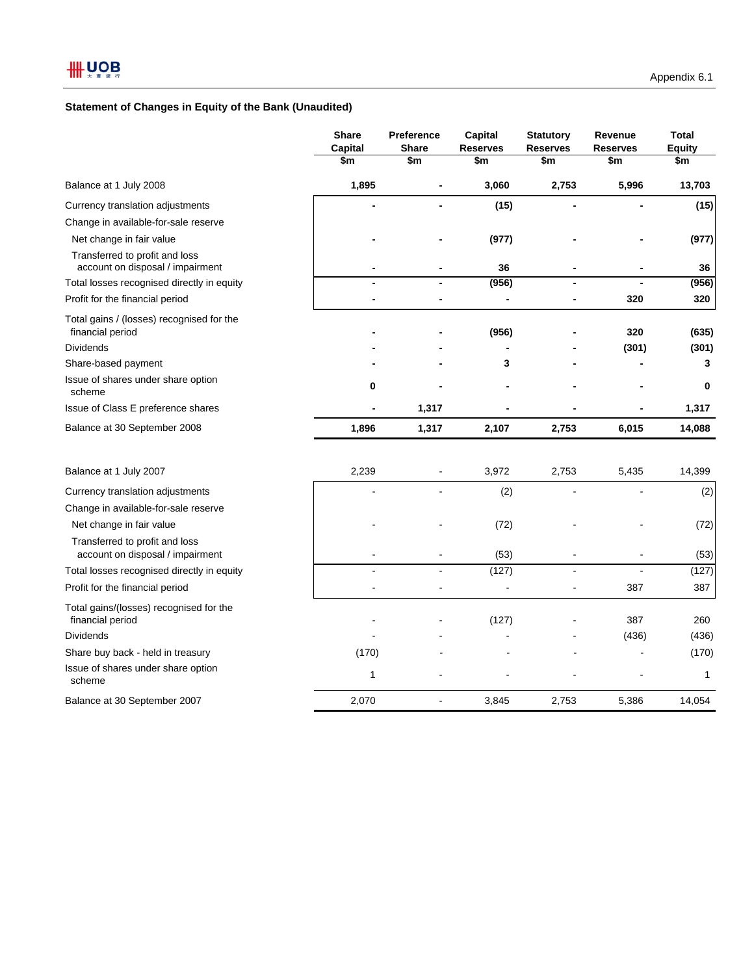## **Statement of Changes in Equity of the Bank (Unaudited)**

|                                                                    | <b>Share</b><br>Capital<br>\$m | Preference<br><b>Share</b><br>\$m | Capital<br><b>Reserves</b><br>\$m | <b>Statutory</b><br><b>Reserves</b><br>\$m | Revenue<br><b>Reserves</b><br>\$m | <b>Total</b><br><b>Equity</b><br>\$m |
|--------------------------------------------------------------------|--------------------------------|-----------------------------------|-----------------------------------|--------------------------------------------|-----------------------------------|--------------------------------------|
| Balance at 1 July 2008                                             | 1,895                          | $\blacksquare$                    | 3,060                             | 2,753                                      | 5,996                             | 13,703                               |
| Currency translation adjustments                                   |                                |                                   | (15)                              |                                            |                                   | (15)                                 |
| Change in available-for-sale reserve                               |                                |                                   |                                   |                                            |                                   |                                      |
| Net change in fair value                                           |                                |                                   | (977)                             |                                            |                                   | (977)                                |
| Transferred to profit and loss<br>account on disposal / impairment |                                |                                   | 36                                |                                            |                                   | 36                                   |
| Total losses recognised directly in equity                         |                                |                                   | (956)                             |                                            |                                   | (956)                                |
| Profit for the financial period                                    |                                |                                   |                                   |                                            | 320                               | 320                                  |
| Total gains / (losses) recognised for the<br>financial period      |                                |                                   | (956)                             |                                            | 320                               | (635)                                |
| <b>Dividends</b>                                                   |                                |                                   |                                   |                                            | (301)                             | (301)                                |
| Share-based payment                                                |                                |                                   | 3                                 |                                            |                                   | 3                                    |
| Issue of shares under share option<br>scheme                       | $\bf{0}$                       |                                   |                                   |                                            |                                   | $\bf{0}$                             |
| Issue of Class E preference shares                                 |                                | 1,317                             |                                   |                                            |                                   | 1,317                                |
| Balance at 30 September 2008                                       | 1,896                          | 1,317                             | 2,107                             | 2,753                                      | 6,015                             | 14,088                               |
| Balance at 1 July 2007                                             | 2,239                          |                                   | 3,972                             | 2,753                                      | 5,435                             | 14,399                               |
| Currency translation adjustments                                   |                                | ä,                                | (2)                               |                                            |                                   | (2)                                  |
| Change in available-for-sale reserve                               |                                |                                   |                                   |                                            |                                   |                                      |
| Net change in fair value                                           |                                |                                   | (72)                              |                                            |                                   | (72)                                 |
| Transferred to profit and loss<br>account on disposal / impairment |                                | ä,                                | (53)                              |                                            |                                   | (53)                                 |
| Total losses recognised directly in equity                         |                                |                                   | (127)                             |                                            |                                   | (127)                                |
| Profit for the financial period                                    |                                |                                   |                                   |                                            | 387                               | 387                                  |
| Total gains/(losses) recognised for the<br>financial period        |                                |                                   | (127)                             |                                            | 387                               | 260                                  |
| <b>Dividends</b>                                                   |                                |                                   |                                   |                                            | (436)                             | (436)                                |
| Share buy back - held in treasury                                  | (170)                          |                                   |                                   |                                            |                                   | (170)                                |
| Issue of shares under share option<br>scheme                       | $\mathbf{1}$                   |                                   |                                   |                                            |                                   | $\mathbf{1}$                         |
| Balance at 30 September 2007                                       | 2,070                          | ä,                                | 3,845                             | 2,753                                      | 5,386                             | 14,054                               |